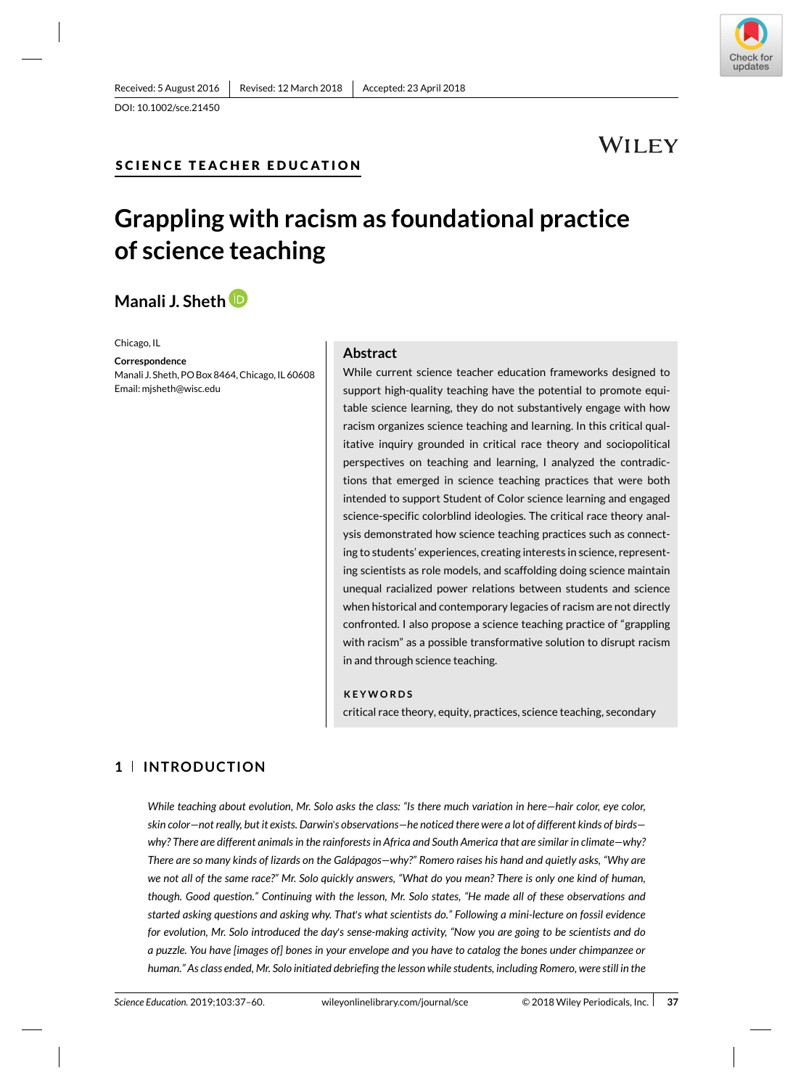### **SC IENCE TEACHER EDUCAT ION**

# **WILEY**

# **Grappling with racism as foundational practice of science teaching**

# **Manali J. Sheth**

Chicago, IL

**Correspondence** Manali J. Sheth, PO Box 8464, Chicago, IL 60608 Email: mjsheth@wisc.edu

### **Abstract**

While current science teacher education frameworks designed to support high-quality teaching have the potential to promote equitable science learning, they do not substantively engage with how racism organizes science teaching and learning. In this critical qualitative inquiry grounded in critical race theory and sociopolitical perspectives on teaching and learning, I analyzed the contradictions that emerged in science teaching practices that were both intended to support Student of Color science learning and engaged science-specific colorblind ideologies. The critical race theory analysis demonstrated how science teaching practices such as connecting to students' experiences, creating interests in science, representing scientists as role models, and scaffolding doing science maintain unequal racialized power relations between students and science when historical and contemporary legacies of racism are not directly confronted. I also propose a science teaching practice of "grappling with racism" as a possible transformative solution to disrupt racism in and through science teaching.

#### **KEYWORDS**

critical race theory, equity, practices, science teaching, secondary

### **1 INTRODUCTION**

*While teaching about evolution, Mr. Solo asks the class: "Is there much variation in here—hair color, eye color, skin color—not really, but it exists. Darwin*'*s observations—he noticed there were a lot of different kinds of birds why? There are different animals in the rainforests in Africa and South America that are similar in climate—why? There are so many kinds of lizards on the Galápagos—why?" Romero raises his hand and quietly asks, "Why are we not all of the same race?" Mr. Solo quickly answers, "What do you mean? There is only one kind of human, though. Good question." Continuing with the lesson, Mr. Solo states, "He made all of these observations and started asking questions and asking why. That*'*s what scientists do." Following a mini-lecture on fossil evidence for evolution, Mr. Solo introduced the day*'*s sense-making activity, "Now you are going to be scientists and do a puzzle. You have [images of] bones in your envelope and you have to catalog the bones under chimpanzee or human." As class ended, Mr. Solo initiated debriefing the lesson while students, including Romero, were still in the*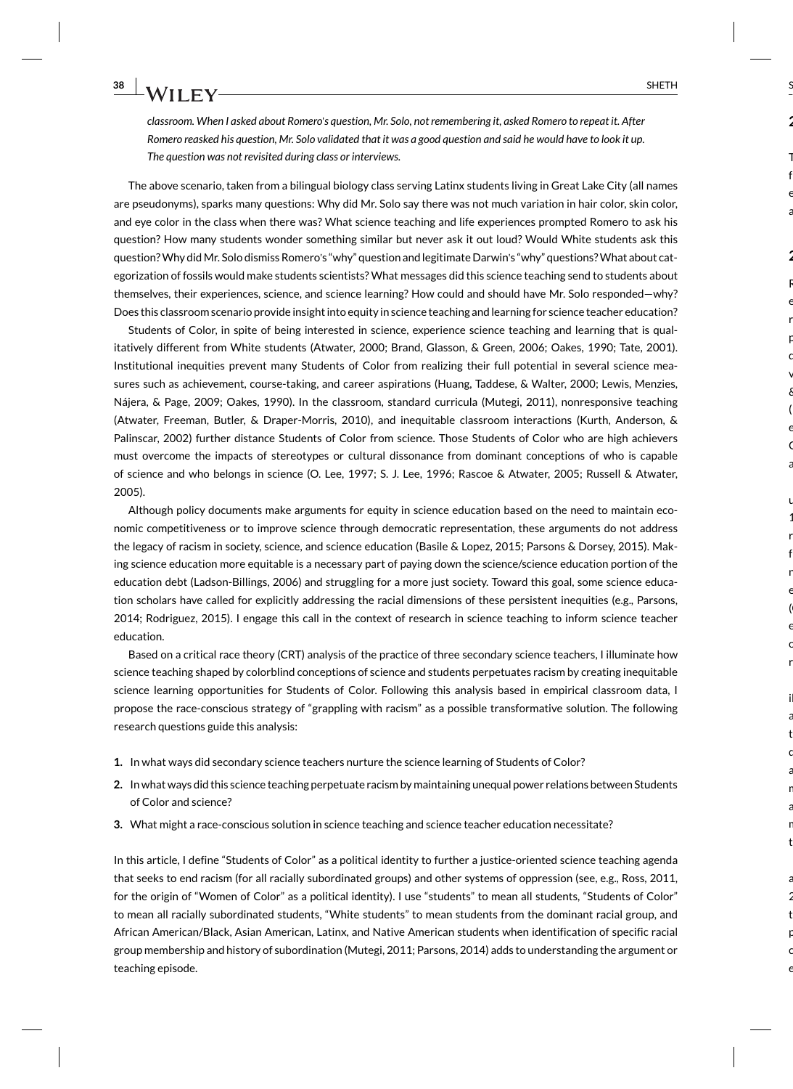*classroom. When I asked about Romero*'*s question, Mr. Solo, not remembering it, asked Romero to repeat it. After Romero reasked his question, Mr. Solo validated that it was a good question and said he would have to look it up. The question was not revisited during class or interviews.*

The above scenario, taken from a bilingual biology class serving Latinx students living in Great Lake City (all names are pseudonyms), sparks many questions: Why did Mr. Solo say there was not much variation in hair color, skin color, and eye color in the class when there was? What science teaching and life experiences prompted Romero to ask his question? How many students wonder something similar but never ask it out loud? Would White students ask this question? Why did Mr. Solo dismiss Romero's "why" question and legitimate Darwin's "why" questions? What about categorization of fossils would make students scientists? What messages did this science teaching send to students about themselves, their experiences, science, and science learning? How could and should have Mr. Solo responded—why? Does this classroom scenario provide insight into equity in science teaching and learning for science teacher education?

Students of Color, in spite of being interested in science, experience science teaching and learning that is qualitatively different from White students (Atwater, 2000; Brand, Glasson, & Green, 2006; Oakes, 1990; Tate, 2001). Institutional inequities prevent many Students of Color from realizing their full potential in several science measures such as achievement, course-taking, and career aspirations (Huang, Taddese, & Walter, 2000; Lewis, Menzies, Nájera, & Page, 2009; Oakes, 1990). In the classroom, standard curricula (Mutegi, 2011), nonresponsive teaching (Atwater, Freeman, Butler, & Draper-Morris, 2010), and inequitable classroom interactions (Kurth, Anderson, & Palinscar, 2002) further distance Students of Color from science. Those Students of Color who are high achievers must overcome the impacts of stereotypes or cultural dissonance from dominant conceptions of who is capable of science and who belongs in science (O. Lee, 1997; S. J. Lee, 1996; Rascoe & Atwater, 2005; Russell & Atwater, 2005).

Although policy documents make arguments for equity in science education based on the need to maintain economic competitiveness or to improve science through democratic representation, these arguments do not address the legacy of racism in society, science, and science education (Basile & Lopez, 2015; Parsons & Dorsey, 2015). Making science education more equitable is a necessary part of paying down the science/science education portion of the education debt (Ladson-Billings, 2006) and struggling for a more just society. Toward this goal, some science education scholars have called for explicitly addressing the racial dimensions of these persistent inequities (e.g., Parsons, 2014; Rodriguez, 2015). I engage this call in the context of research in science teaching to inform science teacher education.

Based on a critical race theory (CRT) analysis of the practice of three secondary science teachers, I illuminate how science teaching shaped by colorblind conceptions of science and students perpetuates racism by creating inequitable science learning opportunities for Students of Color. Following this analysis based in empirical classroom data, I propose the race-conscious strategy of "grappling with racism" as a possible transformative solution. The following research questions guide this analysis:

- **1.** In what ways did secondary science teachers nurture the science learning of Students of Color?
- **2.** In what ways did this science teaching perpetuate racism by maintaining unequal power relations between Students of Color and science?
- **3.** What might a race-conscious solution in science teaching and science teacher education necessitate?

In this article, I define "Students of Color" as a political identity to further a justice-oriented science teaching agenda that seeks to end racism (for all racially subordinated groups) and other systems of oppression (see, e.g., Ross, 2011, for the origin of "Women of Color" as a political identity). I use "students" to mean all students, "Students of Color" to mean all racially subordinated students, "White students" to mean students from the dominant racial group, and African American/Black, Asian American, Latinx, and Native American students when identification of specific racial group membership and history of subordination (Mutegi, 2011; Parsons, 2014) adds to understanding the argument or teaching episode.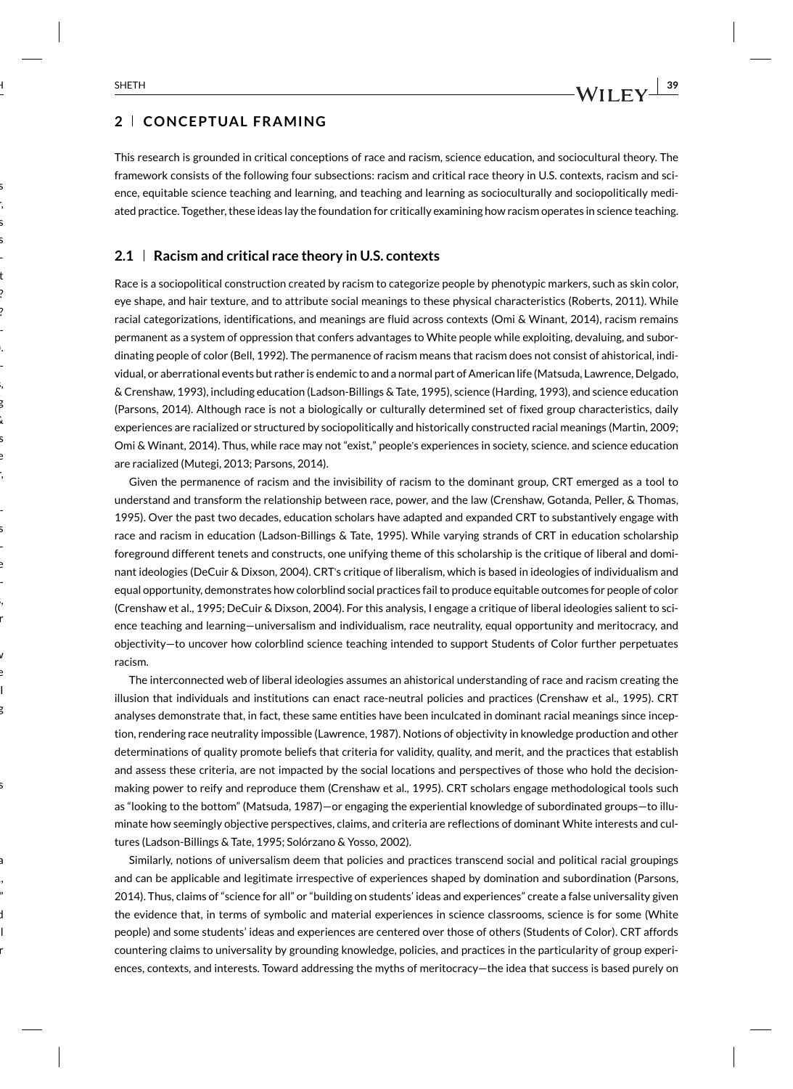### **2 CONCEPTUAL FRAMING**

This research is grounded in critical conceptions of race and racism, science education, and sociocultural theory. The framework consists of the following four subsections: racism and critical race theory in U.S. contexts, racism and science, equitable science teaching and learning, and teaching and learning as socioculturally and sociopolitically mediated practice. Together, these ideas lay the foundation for critically examining how racism operates in science teaching.

#### **2.1 Racism and critical race theory in U.S. contexts**

Race is a sociopolitical construction created by racism to categorize people by phenotypic markers, such as skin color, eye shape, and hair texture, and to attribute social meanings to these physical characteristics (Roberts, 2011). While racial categorizations, identifications, and meanings are fluid across contexts (Omi & Winant, 2014), racism remains permanent as a system of oppression that confers advantages to White people while exploiting, devaluing, and subordinating people of color (Bell, 1992). The permanence of racism means that racism does not consist of ahistorical, individual, or aberrational events but rather is endemic to and a normal part of American life (Matsuda, Lawrence, Delgado, & Crenshaw, 1993), including education (Ladson-Billings & Tate, 1995), science (Harding, 1993), and science education (Parsons, 2014). Although race is not a biologically or culturally determined set of fixed group characteristics, daily experiences are racialized or structured by sociopolitically and historically constructed racial meanings (Martin, 2009; Omi & Winant, 2014). Thus, while race may not "exist," people's experiences in society, science. and science education are racialized (Mutegi, 2013; Parsons, 2014).

Given the permanence of racism and the invisibility of racism to the dominant group, CRT emerged as a tool to understand and transform the relationship between race, power, and the law (Crenshaw, Gotanda, Peller, & Thomas, 1995). Over the past two decades, education scholars have adapted and expanded CRT to substantively engage with race and racism in education (Ladson-Billings & Tate, 1995). While varying strands of CRT in education scholarship foreground different tenets and constructs, one unifying theme of this scholarship is the critique of liberal and dominant ideologies (DeCuir & Dixson, 2004). CRT's critique of liberalism, which is based in ideologies of individualism and equal opportunity, demonstrates how colorblind social practices fail to produce equitable outcomes for people of color (Crenshaw et al., 1995; DeCuir & Dixson, 2004). For this analysis, I engage a critique of liberal ideologies salient to science teaching and learning—universalism and individualism, race neutrality, equal opportunity and meritocracy, and objectivity—to uncover how colorblind science teaching intended to support Students of Color further perpetuates racism.

The interconnected web of liberal ideologies assumes an ahistorical understanding of race and racism creating the illusion that individuals and institutions can enact race-neutral policies and practices (Crenshaw et al., 1995). CRT analyses demonstrate that, in fact, these same entities have been inculcated in dominant racial meanings since inception, rendering race neutrality impossible (Lawrence, 1987). Notions of objectivity in knowledge production and other determinations of quality promote beliefs that criteria for validity, quality, and merit, and the practices that establish and assess these criteria, are not impacted by the social locations and perspectives of those who hold the decisionmaking power to reify and reproduce them (Crenshaw et al., 1995). CRT scholars engage methodological tools such as "looking to the bottom" (Matsuda, 1987)—or engaging the experiential knowledge of subordinated groups—to illuminate how seemingly objective perspectives, claims, and criteria are reflections of dominant White interests and cultures (Ladson-Billings & Tate, 1995; Solórzano & Yosso, 2002).

Similarly, notions of universalism deem that policies and practices transcend social and political racial groupings and can be applicable and legitimate irrespective of experiences shaped by domination and subordination (Parsons, 2014). Thus, claims of "science for all" or "building on students' ideas and experiences" create a false universality given the evidence that, in terms of symbolic and material experiences in science classrooms, science is for some (White people) and some students' ideas and experiences are centered over those of others (Students of Color). CRT affords countering claims to universality by grounding knowledge, policies, and practices in the particularity of group experiences, contexts, and interests. Toward addressing the myths of meritocracy—the idea that success is based purely on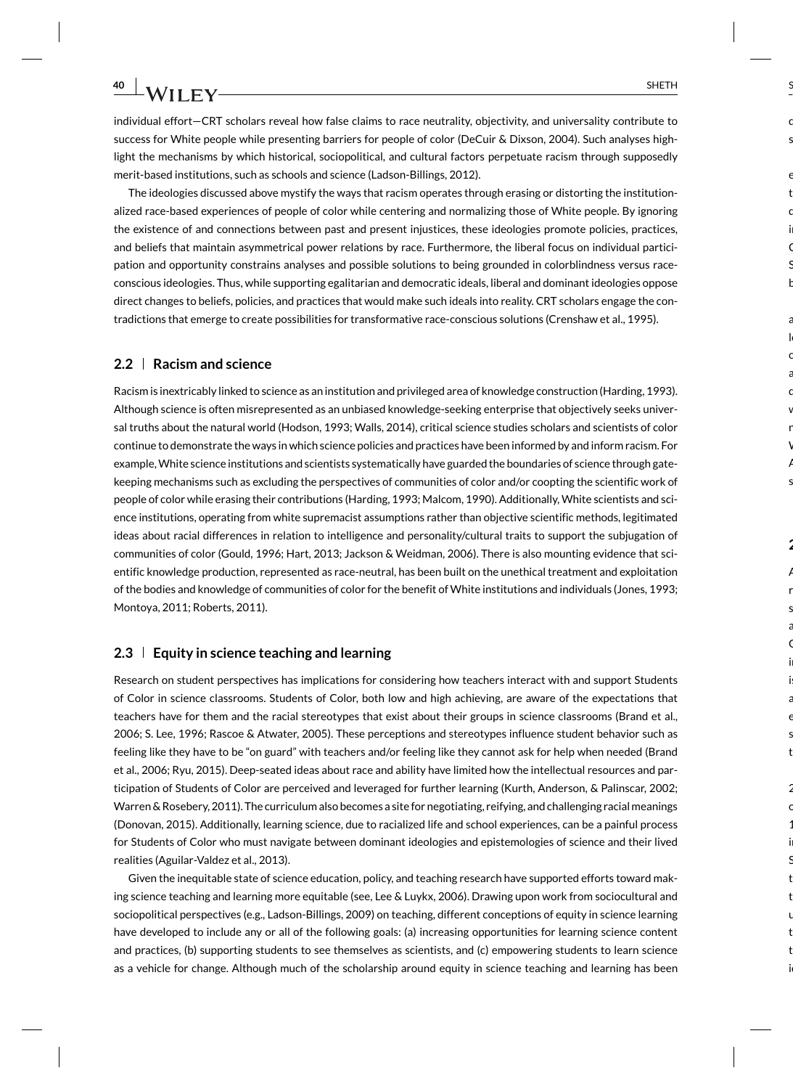individual effort—CRT scholars reveal how false claims to race neutrality, objectivity, and universality contribute to success for White people while presenting barriers for people of color (DeCuir & Dixson, 2004). Such analyses highlight the mechanisms by which historical, sociopolitical, and cultural factors perpetuate racism through supposedly merit-based institutions, such as schools and science (Ladson-Billings, 2012).

The ideologies discussed above mystify the ways that racism operates through erasing or distorting the institutionalized race-based experiences of people of color while centering and normalizing those of White people. By ignoring the existence of and connections between past and present injustices, these ideologies promote policies, practices, and beliefs that maintain asymmetrical power relations by race. Furthermore, the liberal focus on individual participation and opportunity constrains analyses and possible solutions to being grounded in colorblindness versus raceconscious ideologies. Thus, while supporting egalitarian and democratic ideals, liberal and dominant ideologies oppose direct changes to beliefs, policies, and practices that would make such ideals into reality. CRT scholars engage the contradictions that emerge to create possibilities for transformative race-conscious solutions (Crenshaw et al., 1995).

### **2.2 Racism and science**

Racism is inextricably linked to science as an institution and privileged area of knowledge construction (Harding, 1993). Although science is often misrepresented as an unbiased knowledge-seeking enterprise that objectively seeks universal truths about the natural world (Hodson, 1993; Walls, 2014), critical science studies scholars and scientists of color continue to demonstrate the ways in which science policies and practices have been informed by and inform racism. For example, White science institutions and scientists systematically have guarded the boundaries of science through gatekeeping mechanisms such as excluding the perspectives of communities of color and/or coopting the scientific work of people of color while erasing their contributions (Harding, 1993; Malcom, 1990). Additionally, White scientists and science institutions, operating from white supremacist assumptions rather than objective scientific methods, legitimated ideas about racial differences in relation to intelligence and personality/cultural traits to support the subjugation of communities of color (Gould, 1996; Hart, 2013; Jackson & Weidman, 2006). There is also mounting evidence that scientific knowledge production, represented as race-neutral, has been built on the unethical treatment and exploitation of the bodies and knowledge of communities of color for the benefit of White institutions and individuals (Jones, 1993; Montoya, 2011; Roberts, 2011).

### **2.3 Equity in science teaching and learning**

Research on student perspectives has implications for considering how teachers interact with and support Students of Color in science classrooms. Students of Color, both low and high achieving, are aware of the expectations that teachers have for them and the racial stereotypes that exist about their groups in science classrooms (Brand et al., 2006; S. Lee, 1996; Rascoe & Atwater, 2005). These perceptions and stereotypes influence student behavior such as feeling like they have to be "on guard" with teachers and/or feeling like they cannot ask for help when needed (Brand et al., 2006; Ryu, 2015). Deep-seated ideas about race and ability have limited how the intellectual resources and participation of Students of Color are perceived and leveraged for further learning (Kurth, Anderson, & Palinscar, 2002; Warren & Rosebery, 2011). The curriculum also becomes a site for negotiating, reifying, and challenging racial meanings (Donovan, 2015). Additionally, learning science, due to racialized life and school experiences, can be a painful process for Students of Color who must navigate between dominant ideologies and epistemologies of science and their lived realities (Aguilar-Valdez et al., 2013).

Given the inequitable state of science education, policy, and teaching research have supported efforts toward making science teaching and learning more equitable (see, Lee & Luykx, 2006). Drawing upon work from sociocultural and sociopolitical perspectives (e.g., Ladson-Billings, 2009) on teaching, different conceptions of equity in science learning have developed to include any or all of the following goals: (a) increasing opportunities for learning science content and practices, (b) supporting students to see themselves as scientists, and (c) empowering students to learn science as a vehicle for change. Although much of the scholarship around equity in science teaching and learning has been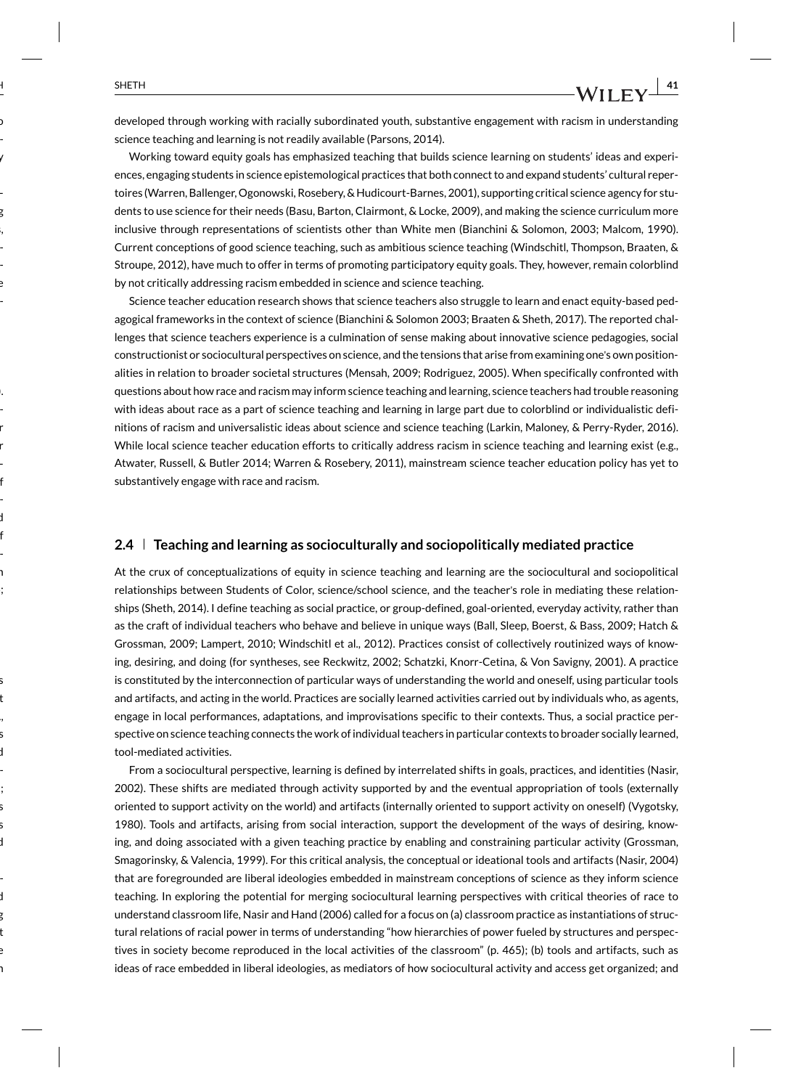developed through working with racially subordinated youth, substantive engagement with racism in understanding science teaching and learning is not readily available (Parsons, 2014).

Working toward equity goals has emphasized teaching that builds science learning on students' ideas and experiences, engaging students in science epistemological practices that both connect to and expand students' cultural repertoires (Warren, Ballenger, Ogonowski, Rosebery, & Hudicourt-Barnes, 2001), supporting critical science agency for students to use science for their needs (Basu, Barton, Clairmont, & Locke, 2009), and making the science curriculum more inclusive through representations of scientists other than White men (Bianchini & Solomon, 2003; Malcom, 1990). Current conceptions of good science teaching, such as ambitious science teaching (Windschitl, Thompson, Braaten, & Stroupe, 2012), have much to offer in terms of promoting participatory equity goals. They, however, remain colorblind by not critically addressing racism embedded in science and science teaching.

Science teacher education research shows that science teachers also struggle to learn and enact equity-based pedagogical frameworks in the context of science (Bianchini & Solomon 2003; Braaten & Sheth, 2017). The reported challenges that science teachers experience is a culmination of sense making about innovative science pedagogies, social constructionist or sociocultural perspectives on science, and the tensions that arise from examining one's own positionalities in relation to broader societal structures (Mensah, 2009; Rodriguez, 2005). When specifically confronted with questions about how race and racism may inform science teaching and learning, science teachers had trouble reasoning with ideas about race as a part of science teaching and learning in large part due to colorblind or individualistic definitions of racism and universalistic ideas about science and science teaching (Larkin, Maloney, & Perry-Ryder, 2016). While local science teacher education efforts to critically address racism in science teaching and learning exist (e.g., Atwater, Russell, & Butler 2014; Warren & Rosebery, 2011), mainstream science teacher education policy has yet to substantively engage with race and racism.

### **2.4 Teaching and learning as socioculturally and sociopolitically mediated practice**

At the crux of conceptualizations of equity in science teaching and learning are the sociocultural and sociopolitical relationships between Students of Color, science/school science, and the teacher's role in mediating these relationships (Sheth, 2014). I define teaching as social practice, or group-defined, goal-oriented, everyday activity, rather than as the craft of individual teachers who behave and believe in unique ways (Ball, Sleep, Boerst, & Bass, 2009; Hatch & Grossman, 2009; Lampert, 2010; Windschitl et al., 2012). Practices consist of collectively routinized ways of knowing, desiring, and doing (for syntheses, see Reckwitz, 2002; Schatzki, Knorr-Cetina, & Von Savigny, 2001). A practice is constituted by the interconnection of particular ways of understanding the world and oneself, using particular tools and artifacts, and acting in the world. Practices are socially learned activities carried out by individuals who, as agents, engage in local performances, adaptations, and improvisations specific to their contexts. Thus, a social practice perspective on science teaching connects the work of individual teachers in particular contexts to broader socially learned, tool-mediated activities.

From a sociocultural perspective, learning is defined by interrelated shifts in goals, practices, and identities (Nasir, 2002). These shifts are mediated through activity supported by and the eventual appropriation of tools (externally oriented to support activity on the world) and artifacts (internally oriented to support activity on oneself) (Vygotsky, 1980). Tools and artifacts, arising from social interaction, support the development of the ways of desiring, knowing, and doing associated with a given teaching practice by enabling and constraining particular activity (Grossman, Smagorinsky, & Valencia, 1999). For this critical analysis, the conceptual or ideational tools and artifacts (Nasir, 2004) that are foregrounded are liberal ideologies embedded in mainstream conceptions of science as they inform science teaching. In exploring the potential for merging sociocultural learning perspectives with critical theories of race to understand classroom life, Nasir and Hand (2006) called for a focus on (a) classroom practice as instantiations of structural relations of racial power in terms of understanding "how hierarchies of power fueled by structures and perspectives in society become reproduced in the local activities of the classroom" (p. 465); (b) tools and artifacts, such as ideas of race embedded in liberal ideologies, as mediators of how sociocultural activity and access get organized; and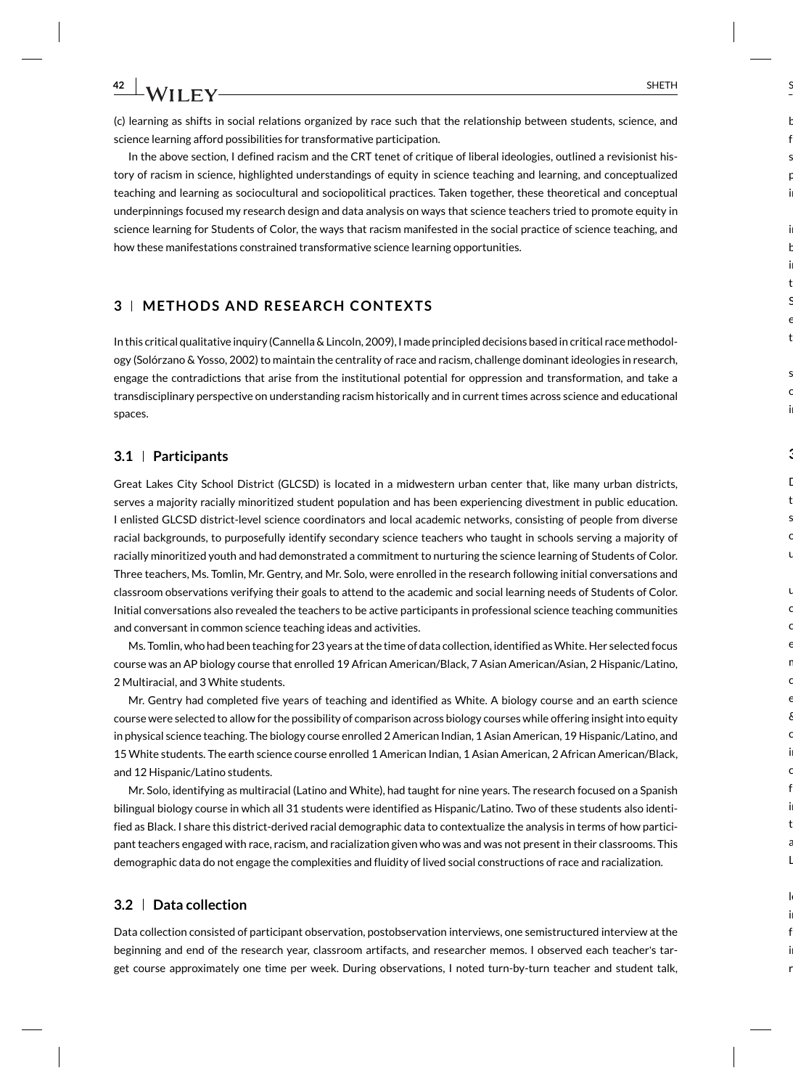(c) learning as shifts in social relations organized by race such that the relationship between students, science, and science learning afford possibilities for transformative participation.

In the above section, I defined racism and the CRT tenet of critique of liberal ideologies, outlined a revisionist history of racism in science, highlighted understandings of equity in science teaching and learning, and conceptualized teaching and learning as sociocultural and sociopolitical practices. Taken together, these theoretical and conceptual underpinnings focused my research design and data analysis on ways that science teachers tried to promote equity in science learning for Students of Color, the ways that racism manifested in the social practice of science teaching, and how these manifestations constrained transformative science learning opportunities.

### **3 METHODS AND RESEARCH CONTEXTS**

In this critical qualitative inquiry (Cannella & Lincoln, 2009), I made principled decisions based in critical race methodology (Solórzano & Yosso, 2002) to maintain the centrality of race and racism, challenge dominant ideologies in research, engage the contradictions that arise from the institutional potential for oppression and transformation, and take a transdisciplinary perspective on understanding racism historically and in current times across science and educational spaces.

### **3.1 Participants**

Great Lakes City School District (GLCSD) is located in a midwestern urban center that, like many urban districts, serves a majority racially minoritized student population and has been experiencing divestment in public education. I enlisted GLCSD district-level science coordinators and local academic networks, consisting of people from diverse racial backgrounds, to purposefully identify secondary science teachers who taught in schools serving a majority of racially minoritized youth and had demonstrated a commitment to nurturing the science learning of Students of Color. Three teachers, Ms. Tomlin, Mr. Gentry, and Mr. Solo, were enrolled in the research following initial conversations and classroom observations verifying their goals to attend to the academic and social learning needs of Students of Color. Initial conversations also revealed the teachers to be active participants in professional science teaching communities and conversant in common science teaching ideas and activities.

Ms. Tomlin, who had been teaching for 23 years at the time of data collection, identified as White. Her selected focus course was an AP biology course that enrolled 19 African American/Black, 7 Asian American/Asian, 2 Hispanic/Latino, 2 Multiracial, and 3 White students.

Mr. Gentry had completed five years of teaching and identified as White. A biology course and an earth science course were selected to allow for the possibility of comparison across biology courses while offering insight into equity in physical science teaching. The biology course enrolled 2 American Indian, 1 Asian American, 19 Hispanic/Latino, and 15 White students. The earth science course enrolled 1 American Indian, 1 Asian American, 2 African American/Black, and 12 Hispanic/Latino students.

Mr. Solo, identifying as multiracial (Latino and White), had taught for nine years. The research focused on a Spanish bilingual biology course in which all 31 students were identified as Hispanic/Latino. Two of these students also identified as Black. I share this district-derived racial demographic data to contextualize the analysis in terms of how participant teachers engaged with race, racism, and racialization given who was and was not present in their classrooms. This demographic data do not engage the complexities and fluidity of lived social constructions of race and racialization.

#### **3.2 Data collection**

Data collection consisted of participant observation, postobservation interviews, one semistructured interview at the beginning and end of the research year, classroom artifacts, and researcher memos. I observed each teacher's target course approximately one time per week. During observations, I noted turn-by-turn teacher and student talk,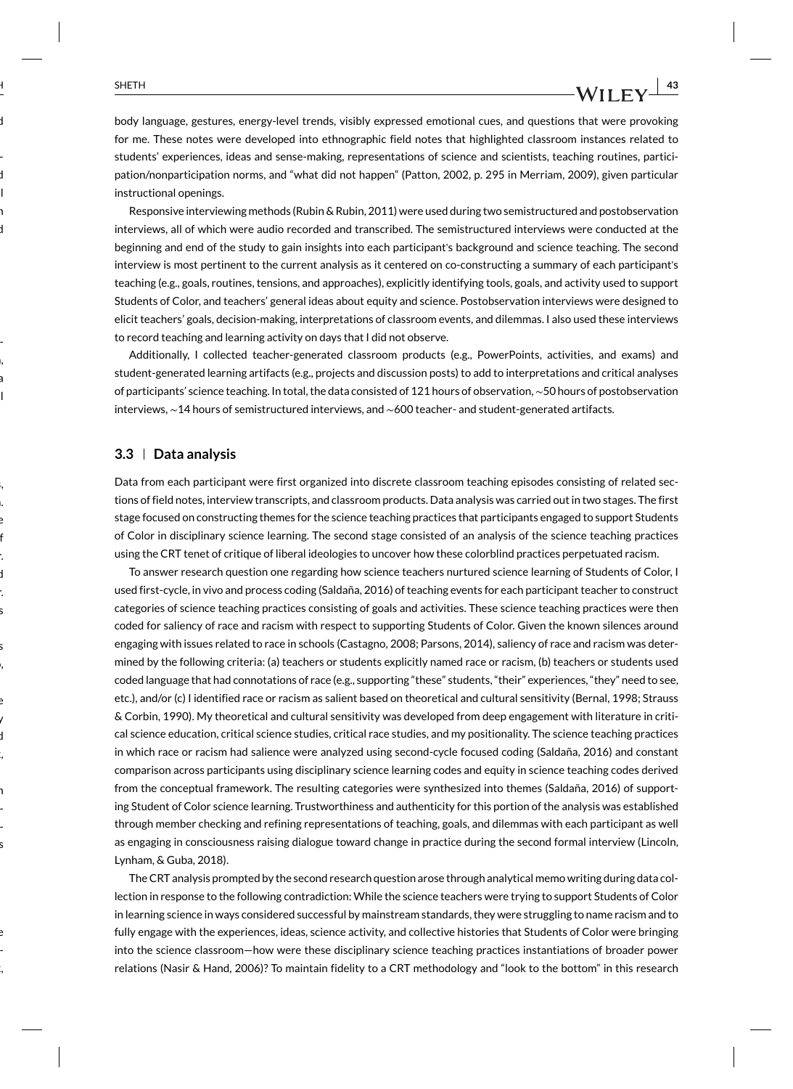body language, gestures, energy-level trends, visibly expressed emotional cues, and questions that were provoking for me. These notes were developed into ethnographic field notes that highlighted classroom instances related to students' experiences, ideas and sense-making, representations of science and scientists, teaching routines, participation/nonparticipation norms, and "what did not happen" (Patton, 2002, p. 295 in Merriam, 2009), given particular instructional openings.

Responsive interviewing methods (Rubin & Rubin, 2011) were used during two semistructured and postobservation interviews, all of which were audio recorded and transcribed. The semistructured interviews were conducted at the beginning and end of the study to gain insights into each participant's background and science teaching. The second interview is most pertinent to the current analysis as it centered on co-constructing a summary of each participant's teaching (e.g., goals, routines, tensions, and approaches), explicitly identifying tools, goals, and activity used to support Students of Color, and teachers' general ideas about equity and science. Postobservation interviews were designed to elicit teachers' goals, decision-making, interpretations of classroom events, and dilemmas. I also used these interviews to record teaching and learning activity on days that I did not observe.

Additionally, I collected teacher-generated classroom products (e.g., PowerPoints, activities, and exams) and student-generated learning artifacts (e.g., projects and discussion posts) to add to interpretations and critical analyses of participants' science teaching. In total, the data consisted of 121 hours of observation,∼50 hours of postobservation interviews, ∼14 hours of semistructured interviews, and ∼600 teacher- and student-generated artifacts.

### **3.3 Data analysis**

Data from each participant were first organized into discrete classroom teaching episodes consisting of related sections of field notes, interview transcripts, and classroom products. Data analysis was carried out in two stages. The first stage focused on constructing themes for the science teaching practices that participants engaged to support Students of Color in disciplinary science learning. The second stage consisted of an analysis of the science teaching practices using the CRT tenet of critique of liberal ideologies to uncover how these colorblind practices perpetuated racism.

To answer research question one regarding how science teachers nurtured science learning of Students of Color, I used first-cycle, in vivo and process coding (Saldaña, 2016) of teaching events for each participant teacher to construct categories of science teaching practices consisting of goals and activities. These science teaching practices were then coded for saliency of race and racism with respect to supporting Students of Color. Given the known silences around engaging with issues related to race in schools (Castagno, 2008; Parsons, 2014), saliency of race and racism was determined by the following criteria: (a) teachers or students explicitly named race or racism, (b) teachers or students used coded language that had connotations of race (e.g., supporting "these" students, "their" experiences, "they" need to see, etc.), and/or (c) I identified race or racism as salient based on theoretical and cultural sensitivity (Bernal, 1998; Strauss & Corbin, 1990). My theoretical and cultural sensitivity was developed from deep engagement with literature in critical science education, critical science studies, critical race studies, and my positionality. The science teaching practices in which race or racism had salience were analyzed using second-cycle focused coding (Saldaña, 2016) and constant comparison across participants using disciplinary science learning codes and equity in science teaching codes derived from the conceptual framework. The resulting categories were synthesized into themes (Saldaña, 2016) of supporting Student of Color science learning. Trustworthiness and authenticity for this portion of the analysis was established through member checking and refining representations of teaching, goals, and dilemmas with each participant as well as engaging in consciousness raising dialogue toward change in practice during the second formal interview (Lincoln, Lynham, & Guba, 2018).

The CRT analysis prompted by the second research question arose through analytical memo writing during data collection in response to the following contradiction: While the science teachers were trying to support Students of Color in learning science in ways considered successful by mainstream standards, they were struggling to name racism and to fully engage with the experiences, ideas, science activity, and collective histories that Students of Color were bringing into the science classroom—how were these disciplinary science teaching practices instantiations of broader power relations (Nasir & Hand, 2006)? To maintain fidelity to a CRT methodology and "look to the bottom" in this research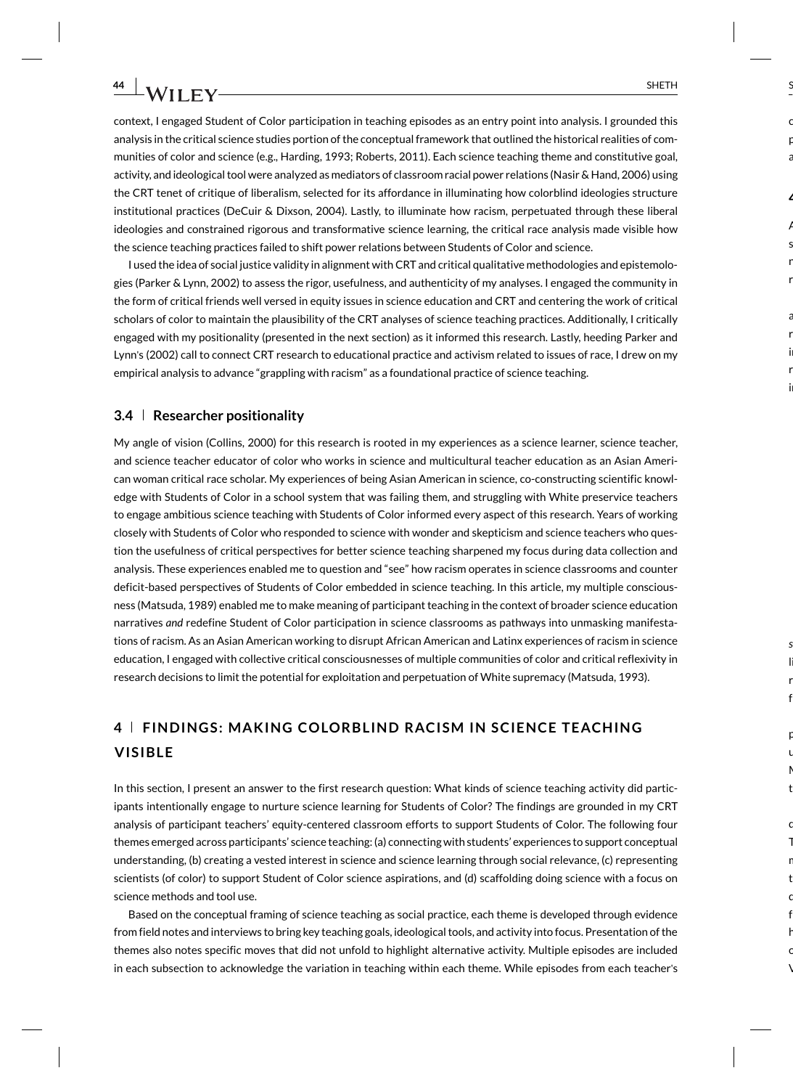context, I engaged Student of Color participation in teaching episodes as an entry point into analysis. I grounded this analysis in the critical science studies portion of the conceptual framework that outlined the historical realities of communities of color and science (e.g., Harding, 1993; Roberts, 2011). Each science teaching theme and constitutive goal, activity, and ideological tool were analyzed as mediators of classroom racial power relations (Nasir & Hand, 2006) using the CRT tenet of critique of liberalism, selected for its affordance in illuminating how colorblind ideologies structure institutional practices (DeCuir & Dixson, 2004). Lastly, to illuminate how racism, perpetuated through these liberal ideologies and constrained rigorous and transformative science learning, the critical race analysis made visible how the science teaching practices failed to shift power relations between Students of Color and science.

I used the idea of social justice validity in alignment with CRT and critical qualitative methodologies and epistemologies (Parker & Lynn, 2002) to assess the rigor, usefulness, and authenticity of my analyses. I engaged the community in the form of critical friends well versed in equity issues in science education and CRT and centering the work of critical scholars of color to maintain the plausibility of the CRT analyses of science teaching practices. Additionally, I critically engaged with my positionality (presented in the next section) as it informed this research. Lastly, heeding Parker and Lynn's (2002) call to connect CRT research to educational practice and activism related to issues of race, I drew on my empirical analysis to advance "grappling with racism" as a foundational practice of science teaching.

#### **3.4 Researcher positionality**

My angle of vision (Collins, 2000) for this research is rooted in my experiences as a science learner, science teacher, and science teacher educator of color who works in science and multicultural teacher education as an Asian American woman critical race scholar. My experiences of being Asian American in science, co-constructing scientific knowledge with Students of Color in a school system that was failing them, and struggling with White preservice teachers to engage ambitious science teaching with Students of Color informed every aspect of this research. Years of working closely with Students of Color who responded to science with wonder and skepticism and science teachers who question the usefulness of critical perspectives for better science teaching sharpened my focus during data collection and analysis. These experiences enabled me to question and "see" how racism operates in science classrooms and counter deficit-based perspectives of Students of Color embedded in science teaching. In this article, my multiple consciousness (Matsuda, 1989) enabled me to make meaning of participant teaching in the context of broader science education narratives *and* redefine Student of Color participation in science classrooms as pathways into unmasking manifestations of racism. As an Asian American working to disrupt African American and Latinx experiences of racism in science education, I engaged with collective critical consciousnesses of multiple communities of color and critical reflexivity in research decisions to limit the potential for exploitation and perpetuation of White supremacy (Matsuda, 1993).

## **4 FINDINGS: MAKING COLORBLIND RACISM IN SCIENCE TEACHING VISIBLE**

In this section, I present an answer to the first research question: What kinds of science teaching activity did participants intentionally engage to nurture science learning for Students of Color? The findings are grounded in my CRT analysis of participant teachers' equity-centered classroom efforts to support Students of Color. The following four themes emerged across participants' science teaching: (a) connecting with students' experiences to support conceptual understanding, (b) creating a vested interest in science and science learning through social relevance, (c) representing scientists (of color) to support Student of Color science aspirations, and (d) scaffolding doing science with a focus on science methods and tool use.

Based on the conceptual framing of science teaching as social practice, each theme is developed through evidence from field notes and interviews to bring key teaching goals, ideological tools, and activity into focus. Presentation of the themes also notes specific moves that did not unfold to highlight alternative activity. Multiple episodes are included in each subsection to acknowledge the variation in teaching within each theme. While episodes from each teacher's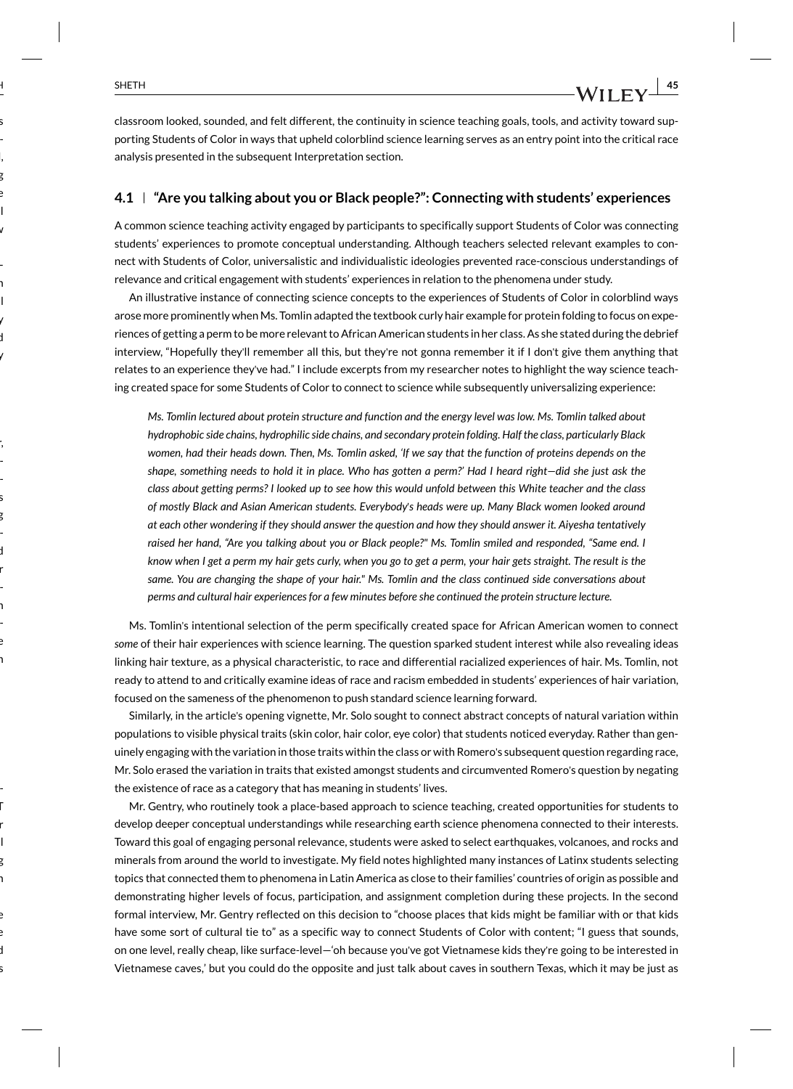classroom looked, sounded, and felt different, the continuity in science teaching goals, tools, and activity toward supporting Students of Color in ways that upheld colorblind science learning serves as an entry point into the critical race analysis presented in the subsequent Interpretation section.

### **4.1 "Are you talking about you or Black people?": Connecting with students' experiences**

A common science teaching activity engaged by participants to specifically support Students of Color was connecting students' experiences to promote conceptual understanding. Although teachers selected relevant examples to connect with Students of Color, universalistic and individualistic ideologies prevented race-conscious understandings of relevance and critical engagement with students' experiences in relation to the phenomena under study.

An illustrative instance of connecting science concepts to the experiences of Students of Color in colorblind ways arose more prominently when Ms. Tomlin adapted the textbook curly hair example for protein folding to focus on experiences of getting a perm to be more relevant to African American students in her class. As she stated during the debrief interview, "Hopefully they'll remember all this, but they're not gonna remember it if I don't give them anything that relates to an experience they've had." I include excerpts from my researcher notes to highlight the way science teaching created space for some Students of Color to connect to science while subsequently universalizing experience:

*Ms. Tomlin lectured about protein structure and function and the energy level was low. Ms. Tomlin talked about hydrophobic side chains, hydrophilic side chains, and secondary protein folding. Half the class, particularly Black women, had their heads down. Then, Ms. Tomlin asked, 'If we say that the function of proteins depends on the shape, something needs to hold it in place. Who has gotten a perm?' Had I heard right—did she just ask the class about getting perms? I looked up to see how this would unfold between this White teacher and the class of mostly Black and Asian American students. Everybody*'*s heads were up. Many Black women looked around at each other wondering if they should answer the question and how they should answer it. Aiyesha tentatively raised her hand, "Are you talking about you or Black people?" Ms. Tomlin smiled and responded, "Same end. I know when I get a perm my hair gets curly, when you go to get a perm, your hair gets straight. The result is the same. You are changing the shape of your hair." Ms. Tomlin and the class continued side conversations about perms and cultural hair experiences for a few minutes before she continued the protein structure lecture.*

Ms. Tomlin's intentional selection of the perm specifically created space for African American women to connect *some* of their hair experiences with science learning. The question sparked student interest while also revealing ideas linking hair texture, as a physical characteristic, to race and differential racialized experiences of hair. Ms. Tomlin, not ready to attend to and critically examine ideas of race and racism embedded in students' experiences of hair variation, focused on the sameness of the phenomenon to push standard science learning forward.

Similarly, in the article's opening vignette, Mr. Solo sought to connect abstract concepts of natural variation within populations to visible physical traits (skin color, hair color, eye color) that students noticed everyday. Rather than genuinely engaging with the variation in those traits within the class or with Romero's subsequent question regarding race, Mr. Solo erased the variation in traits that existed amongst students and circumvented Romero's question by negating the existence of race as a category that has meaning in students' lives.

Mr. Gentry, who routinely took a place-based approach to science teaching, created opportunities for students to develop deeper conceptual understandings while researching earth science phenomena connected to their interests. Toward this goal of engaging personal relevance, students were asked to select earthquakes, volcanoes, and rocks and minerals from around the world to investigate. My field notes highlighted many instances of Latinx students selecting topics that connected them to phenomena in Latin America as close to their families' countries of origin as possible and demonstrating higher levels of focus, participation, and assignment completion during these projects. In the second formal interview, Mr. Gentry reflected on this decision to "choose places that kids might be familiar with or that kids have some sort of cultural tie to" as a specific way to connect Students of Color with content; "I guess that sounds, on one level, really cheap, like surface-level—'oh because you've got Vietnamese kids they're going to be interested in Vietnamese caves,' but you could do the opposite and just talk about caves in southern Texas, which it may be just as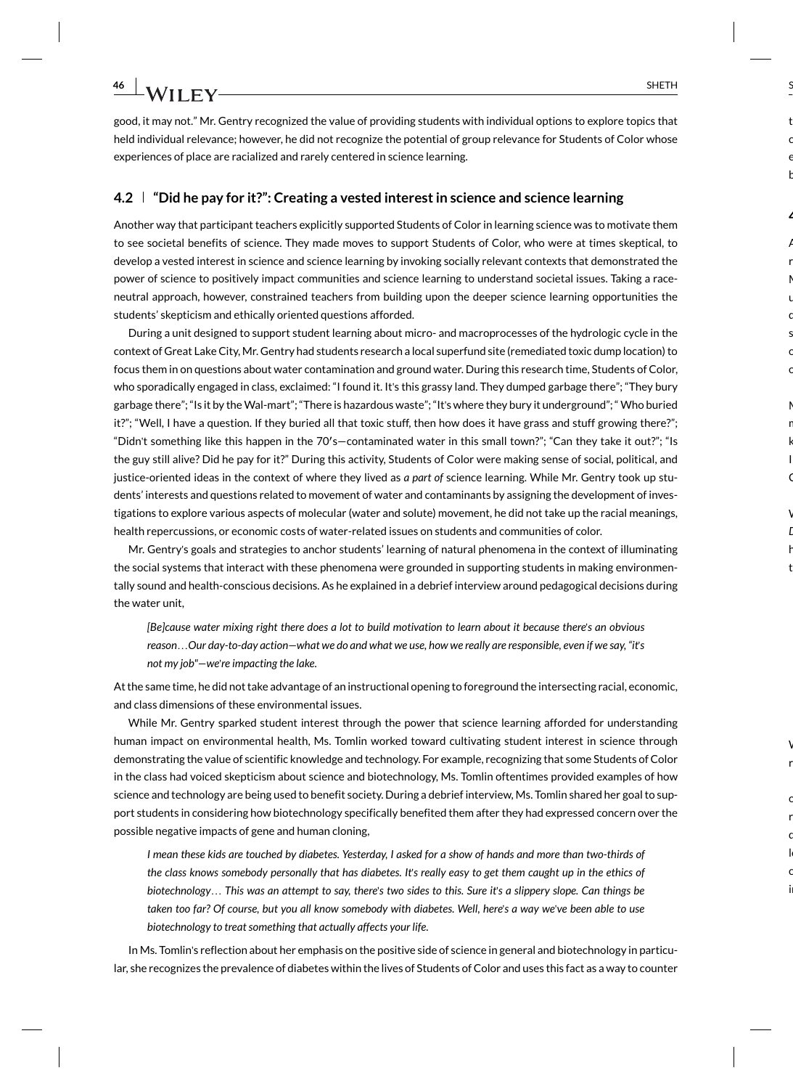good, it may not." Mr. Gentry recognized the value of providing students with individual options to explore topics that held individual relevance; however, he did not recognize the potential of group relevance for Students of Color whose experiences of place are racialized and rarely centered in science learning.

### **4.2 "Did he pay for it?": Creating a vested interest in science and science learning**

Another way that participant teachers explicitly supported Students of Color in learning science was to motivate them to see societal benefits of science. They made moves to support Students of Color, who were at times skeptical, to develop a vested interest in science and science learning by invoking socially relevant contexts that demonstrated the power of science to positively impact communities and science learning to understand societal issues. Taking a raceneutral approach, however, constrained teachers from building upon the deeper science learning opportunities the students' skepticism and ethically oriented questions afforded.

During a unit designed to support student learning about micro- and macroprocesses of the hydrologic cycle in the context of Great Lake City, Mr. Gentry had students research a local superfund site (remediated toxic dump location) to focus them in on questions about water contamination and ground water. During this research time, Students of Color, who sporadically engaged in class, exclaimed: "I found it. It's this grassy land. They dumped garbage there"; "They bury garbage there"; "Is it by the Wal-mart"; "There is hazardous waste"; "It's where they bury it underground"; " Who buried it?"; "Well, I have a question. If they buried all that toxic stuff, then how does it have grass and stuff growing there?"; "Didn't something like this happen in the 70′ s—contaminated water in this small town?"; "Can they take it out?"; "Is the guy still alive? Did he pay for it?" During this activity, Students of Color were making sense of social, political, and justice-oriented ideas in the context of where they lived as *a part of* science learning. While Mr. Gentry took up students' interests and questions related to movement of water and contaminants by assigning the development of investigations to explore various aspects of molecular (water and solute) movement, he did not take up the racial meanings, health repercussions, or economic costs of water-related issues on students and communities of color.

Mr. Gentry's goals and strategies to anchor students' learning of natural phenomena in the context of illuminating the social systems that interact with these phenomena were grounded in supporting students in making environmentally sound and health-conscious decisions. As he explained in a debrief interview around pedagogical decisions during the water unit,

*[Be]cause water mixing right there does a lot to build motivation to learn about it because there*'*s an obvious reason*…*Our day-to-day action—what we do and what we use, how we really are responsible, even if we say, "it*'*s not my job"—we*'*re impacting the lake.*

At the same time, he did not take advantage of an instructional opening to foreground the intersecting racial, economic, and class dimensions of these environmental issues.

While Mr. Gentry sparked student interest through the power that science learning afforded for understanding human impact on environmental health, Ms. Tomlin worked toward cultivating student interest in science through demonstrating the value of scientific knowledge and technology. For example, recognizing that some Students of Color in the class had voiced skepticism about science and biotechnology, Ms. Tomlin oftentimes provided examples of how science and technology are being used to benefit society. During a debrief interview, Ms. Tomlin shared her goal to support students in considering how biotechnology specifically benefited them after they had expressed concern over the possible negative impacts of gene and human cloning,

*I mean these kids are touched by diabetes. Yesterday, I asked for a show of hands and more than two-thirds of the class knows somebody personally that has diabetes. It*'*s really easy to get them caught up in the ethics of biotechnology*… *This was an attempt to say, there*'*s two sides to this. Sure it*'*s a slippery slope. Can things be taken too far? Of course, but you all know somebody with diabetes. Well, here*'*s a way we*'*ve been able to use biotechnology to treat something that actually affects your life.*

In Ms. Tomlin's reflection about her emphasis on the positive side of science in general and biotechnology in particular, she recognizes the prevalence of diabetes within the lives of Students of Color and uses this fact as a way to counter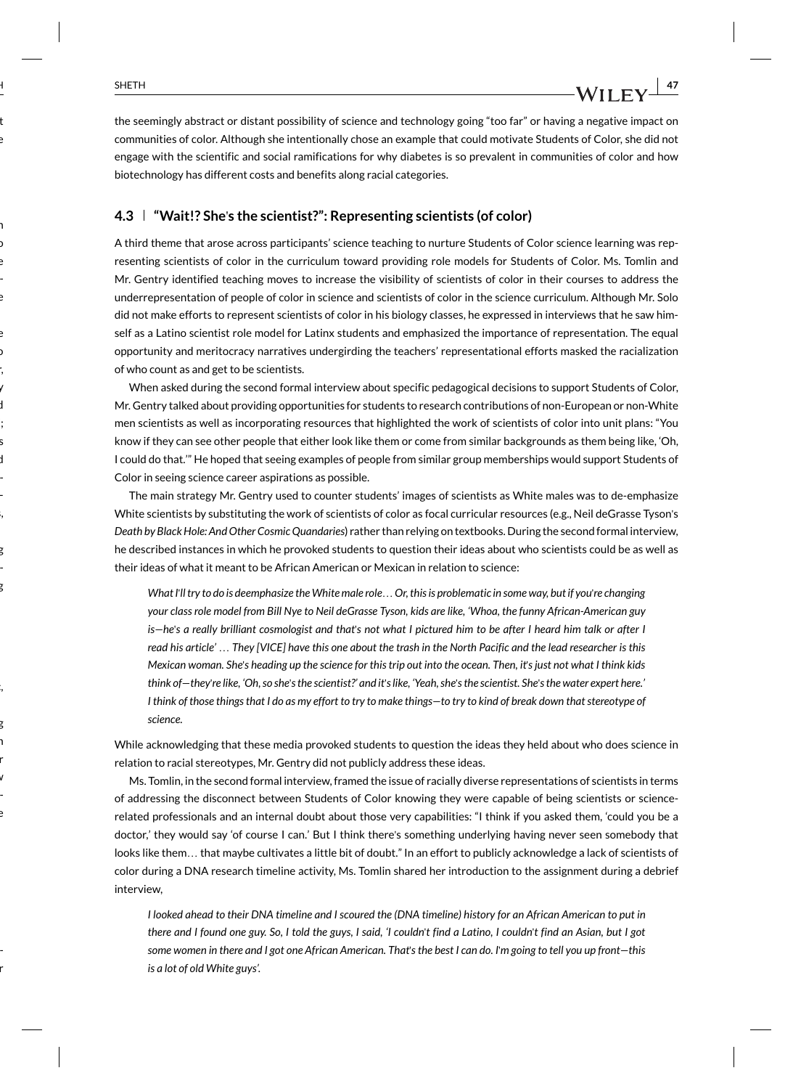the seemingly abstract or distant possibility of science and technology going "too far" or having a negative impact on communities of color. Although she intentionally chose an example that could motivate Students of Color, she did not engage with the scientific and social ramifications for why diabetes is so prevalent in communities of color and how biotechnology has different costs and benefits along racial categories.

### **4.3 "Wait!? She**'**s the scientist?": Representing scientists (of color)**

A third theme that arose across participants' science teaching to nurture Students of Color science learning was representing scientists of color in the curriculum toward providing role models for Students of Color. Ms. Tomlin and Mr. Gentry identified teaching moves to increase the visibility of scientists of color in their courses to address the underrepresentation of people of color in science and scientists of color in the science curriculum. Although Mr. Solo did not make efforts to represent scientists of color in his biology classes, he expressed in interviews that he saw himself as a Latino scientist role model for Latinx students and emphasized the importance of representation. The equal opportunity and meritocracy narratives undergirding the teachers' representational efforts masked the racialization of who count as and get to be scientists.

When asked during the second formal interview about specific pedagogical decisions to support Students of Color, Mr. Gentry talked about providing opportunities for students to research contributions of non-European or non-White men scientists as well as incorporating resources that highlighted the work of scientists of color into unit plans: "You know if they can see other people that either look like them or come from similar backgrounds as them being like, 'Oh, I could do that.'" He hoped that seeing examples of people from similar group memberships would support Students of Color in seeing science career aspirations as possible.

The main strategy Mr. Gentry used to counter students' images of scientists as White males was to de-emphasize White scientists by substituting the work of scientists of color as focal curricular resources (e.g., Neil deGrasse Tyson's *Death by Black Hole: And Other Cosmic Quandaries*) rather than relying on textbooks. During the second formal interview, he described instances in which he provoked students to question their ideas about who scientists could be as well as their ideas of what it meant to be African American or Mexican in relation to science:

*What I*'*ll try to do is deemphasize the White male role*…*Or, this is problematic in some way, but if you*'*re changing your class role model from Bill Nye to Neil deGrasse Tyson, kids are like, 'Whoa, the funny African-American guy is—he*'*s a really brilliant cosmologist and that*'*s not what I pictured him to be after I heard him talk or after I read his article'* … *They [VICE] have this one about the trash in the North Pacific and the lead researcher is this Mexican woman. She*'*s heading up the science for this trip out into the ocean. Then, it*'*s just not what I think kids think of—they*'*re like, 'Oh, so she*'*s the scientist?' and it*'*s like, 'Yeah, she*'*s the scientist. She*'*s the water expert here.' I think of those things that I do as my effort to try to make things—to try to kind of break down that stereotype of science.*

While acknowledging that these media provoked students to question the ideas they held about who does science in relation to racial stereotypes, Mr. Gentry did not publicly address these ideas.

Ms. Tomlin, in the second formal interview, framed the issue of racially diverse representations of scientists in terms of addressing the disconnect between Students of Color knowing they were capable of being scientists or sciencerelated professionals and an internal doubt about those very capabilities: "I think if you asked them, 'could you be a doctor,' they would say 'of course I can.' But I think there's something underlying having never seen somebody that looks like them… that maybe cultivates a little bit of doubt." In an effort to publicly acknowledge a lack of scientists of color during a DNA research timeline activity, Ms. Tomlin shared her introduction to the assignment during a debrief interview,

*I looked ahead to their DNA timeline and I scoured the (DNA timeline) history for an African American to put in there and I found one guy. So, I told the guys, I said, 'I couldn*'*t find a Latino, I couldn*'*t find an Asian, but I got some women in there and I got one African American. That*'*s the best I can do. I*'*m going to tell you up front—this is a lot of old White guys'.*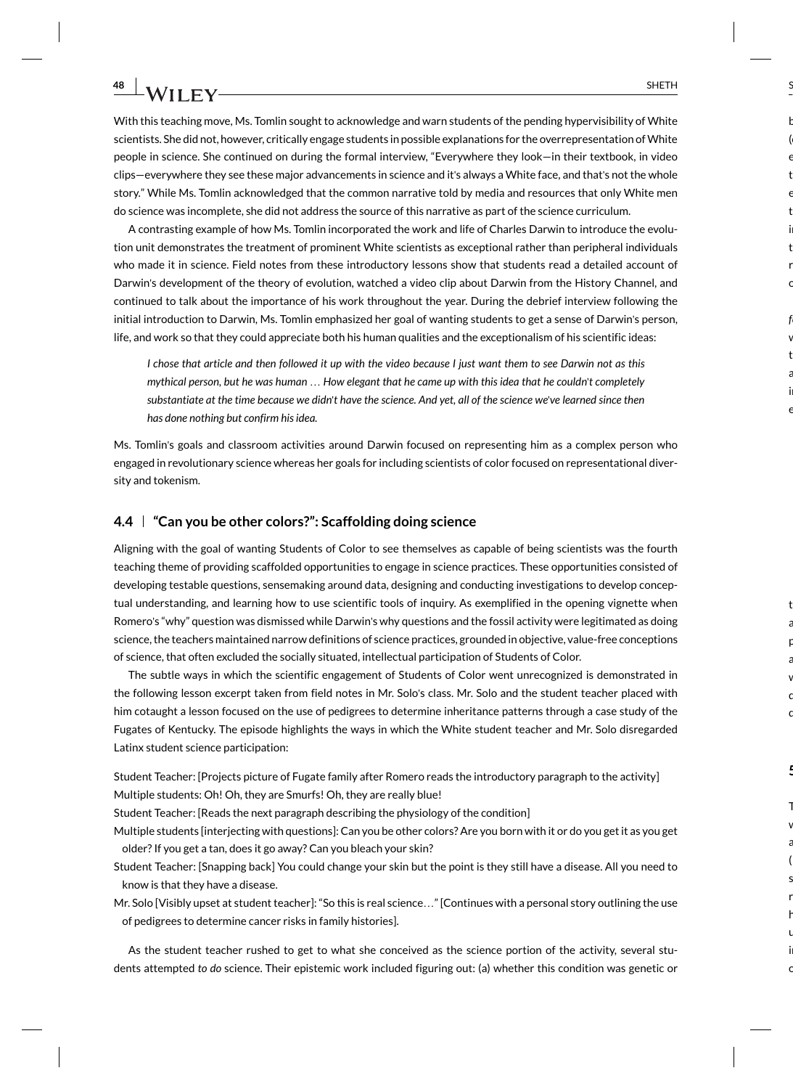With this teaching move, Ms. Tomlin sought to acknowledge and warn students of the pending hypervisibility of White scientists. She did not, however, critically engage students in possible explanations for the overrepresentation of White people in science. She continued on during the formal interview, "Everywhere they look—in their textbook, in video clips—everywhere they see these major advancements in science and it's always a White face, and that's not the whole story." While Ms. Tomlin acknowledged that the common narrative told by media and resources that only White men do science was incomplete, she did not address the source of this narrative as part of the science curriculum.

A contrasting example of how Ms. Tomlin incorporated the work and life of Charles Darwin to introduce the evolution unit demonstrates the treatment of prominent White scientists as exceptional rather than peripheral individuals who made it in science. Field notes from these introductory lessons show that students read a detailed account of Darwin's development of the theory of evolution, watched a video clip about Darwin from the History Channel, and continued to talk about the importance of his work throughout the year. During the debrief interview following the initial introduction to Darwin, Ms. Tomlin emphasized her goal of wanting students to get a sense of Darwin's person, life, and work so that they could appreciate both his human qualities and the exceptionalism of his scientific ideas:

*I chose that article and then followed it up with the video because I just want them to see Darwin not as this mythical person, but he was human* … *How elegant that he came up with this idea that he couldn*'*t completely substantiate at the time because we didn*'*t have the science. And yet, all of the science we*'*ve learned since then has done nothing but confirm his idea.*

Ms. Tomlin's goals and classroom activities around Darwin focused on representing him as a complex person who engaged in revolutionary science whereas her goals for including scientists of color focused on representational diversity and tokenism.

### **4.4 "Can you be other colors?": Scaffolding doing science**

Aligning with the goal of wanting Students of Color to see themselves as capable of being scientists was the fourth teaching theme of providing scaffolded opportunities to engage in science practices. These opportunities consisted of developing testable questions, sensemaking around data, designing and conducting investigations to develop conceptual understanding, and learning how to use scientific tools of inquiry. As exemplified in the opening vignette when Romero's "why" question was dismissed while Darwin's why questions and the fossil activity were legitimated as doing science, the teachers maintained narrow definitions of science practices, grounded in objective, value-free conceptions of science, that often excluded the socially situated, intellectual participation of Students of Color.

The subtle ways in which the scientific engagement of Students of Color went unrecognized is demonstrated in the following lesson excerpt taken from field notes in Mr. Solo's class. Mr. Solo and the student teacher placed with him cotaught a lesson focused on the use of pedigrees to determine inheritance patterns through a case study of the Fugates of Kentucky. The episode highlights the ways in which the White student teacher and Mr. Solo disregarded Latinx student science participation:

Student Teacher: [Projects picture of Fugate family after Romero reads the introductory paragraph to the activity] Multiple students: Oh! Oh, they are Smurfs! Oh, they are really blue!

- Student Teacher: [Reads the next paragraph describing the physiology of the condition]
- Multiple students [interjecting with questions]: Can you be other colors? Are you born with it or do you get it as you get older? If you get a tan, does it go away? Can you bleach your skin?
- Student Teacher: [Snapping back] You could change your skin but the point is they still have a disease. All you need to know is that they have a disease.
- Mr. Solo [Visibly upset at student teacher]: "So this is real science…" [Continues with a personal story outlining the use of pedigrees to determine cancer risks in family histories].

As the student teacher rushed to get to what she conceived as the science portion of the activity, several students attempted *to do* science. Their epistemic work included figuring out: (a) whether this condition was genetic or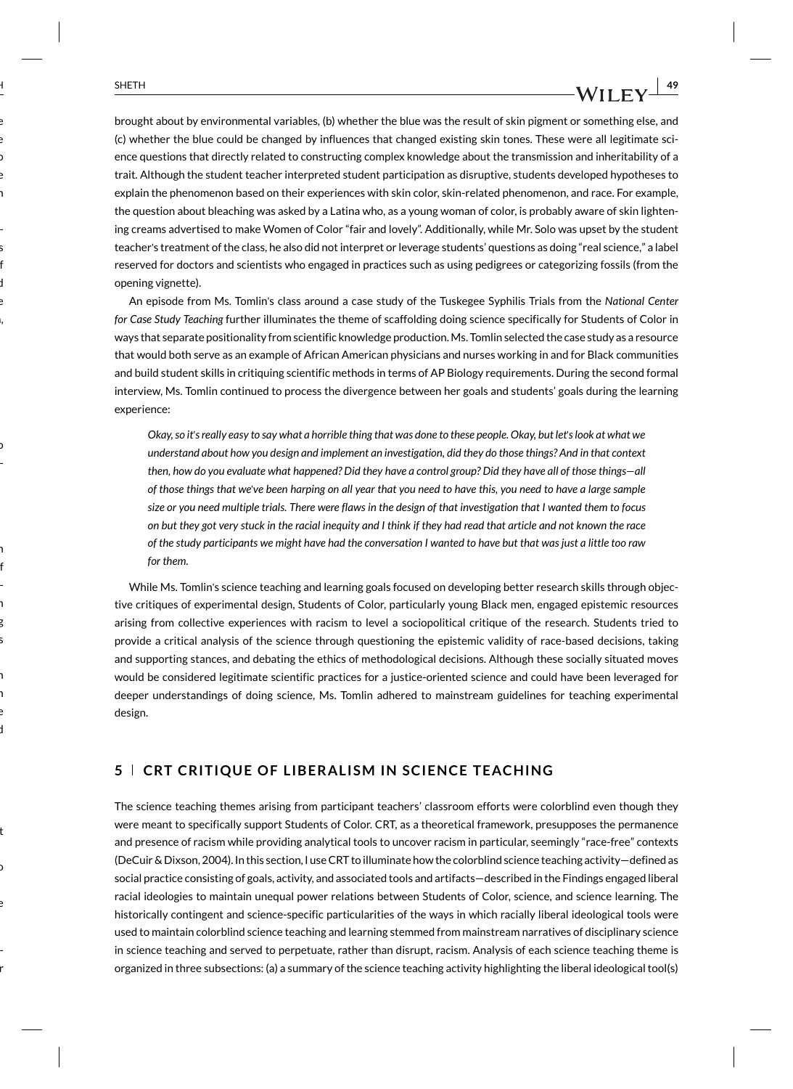brought about by environmental variables, (b) whether the blue was the result of skin pigment or something else, and (c) whether the blue could be changed by influences that changed existing skin tones. These were all legitimate science questions that directly related to constructing complex knowledge about the transmission and inheritability of a trait. Although the student teacher interpreted student participation as disruptive, students developed hypotheses to explain the phenomenon based on their experiences with skin color, skin-related phenomenon, and race. For example, the question about bleaching was asked by a Latina who, as a young woman of color, is probably aware of skin lightening creams advertised to make Women of Color "fair and lovely". Additionally, while Mr. Solo was upset by the student teacher's treatment of the class, he also did not interpret or leverage students' questions as doing "real science," a label reserved for doctors and scientists who engaged in practices such as using pedigrees or categorizing fossils (from the opening vignette).

An episode from Ms. Tomlin's class around a case study of the Tuskegee Syphilis Trials from the *National Center for Case Study Teaching* further illuminates the theme of scaffolding doing science specifically for Students of Color in ways that separate positionality from scientific knowledge production. Ms. Tomlin selected the case study as a resource that would both serve as an example of African American physicians and nurses working in and for Black communities and build student skills in critiquing scientific methods in terms of AP Biology requirements. During the second formal interview, Ms. Tomlin continued to process the divergence between her goals and students' goals during the learning experience:

*Okay, so it*'*s really easy to say what a horrible thing that was done to these people. Okay, but let*'*s look at what we understand about how you design and implement an investigation, did they do those things? And in that context then, how do you evaluate what happened? Did they have a control group? Did they have all of those things—all of those things that we*'*ve been harping on all year that you need to have this, you need to have a large sample size or you need multiple trials. There were flaws in the design of that investigation that I wanted them to focus on but they got very stuck in the racial inequity and I think if they had read that article and not known the race of the study participants we might have had the conversation I wanted to have but that was just a little too raw for them.*

While Ms. Tomlin's science teaching and learning goals focused on developing better research skills through objective critiques of experimental design, Students of Color, particularly young Black men, engaged epistemic resources arising from collective experiences with racism to level a sociopolitical critique of the research. Students tried to provide a critical analysis of the science through questioning the epistemic validity of race-based decisions, taking and supporting stances, and debating the ethics of methodological decisions. Although these socially situated moves would be considered legitimate scientific practices for a justice-oriented science and could have been leveraged for deeper understandings of doing science, Ms. Tomlin adhered to mainstream guidelines for teaching experimental design.

### **5 CRT CRITIQUE OF LIBERALISM IN SCIENCE TEACHING**

The science teaching themes arising from participant teachers' classroom efforts were colorblind even though they were meant to specifically support Students of Color. CRT, as a theoretical framework, presupposes the permanence and presence of racism while providing analytical tools to uncover racism in particular, seemingly "race-free" contexts (DeCuir & Dixson, 2004). In this section, I use CRT to illuminate how the colorblind science teaching activity—defined as social practice consisting of goals, activity, and associated tools and artifacts—described in the Findings engaged liberal racial ideologies to maintain unequal power relations between Students of Color, science, and science learning. The historically contingent and science-specific particularities of the ways in which racially liberal ideological tools were used to maintain colorblind science teaching and learning stemmed from mainstream narratives of disciplinary science in science teaching and served to perpetuate, rather than disrupt, racism. Analysis of each science teaching theme is organized in three subsections: (a) a summary of the science teaching activity highlighting the liberal ideological tool(s)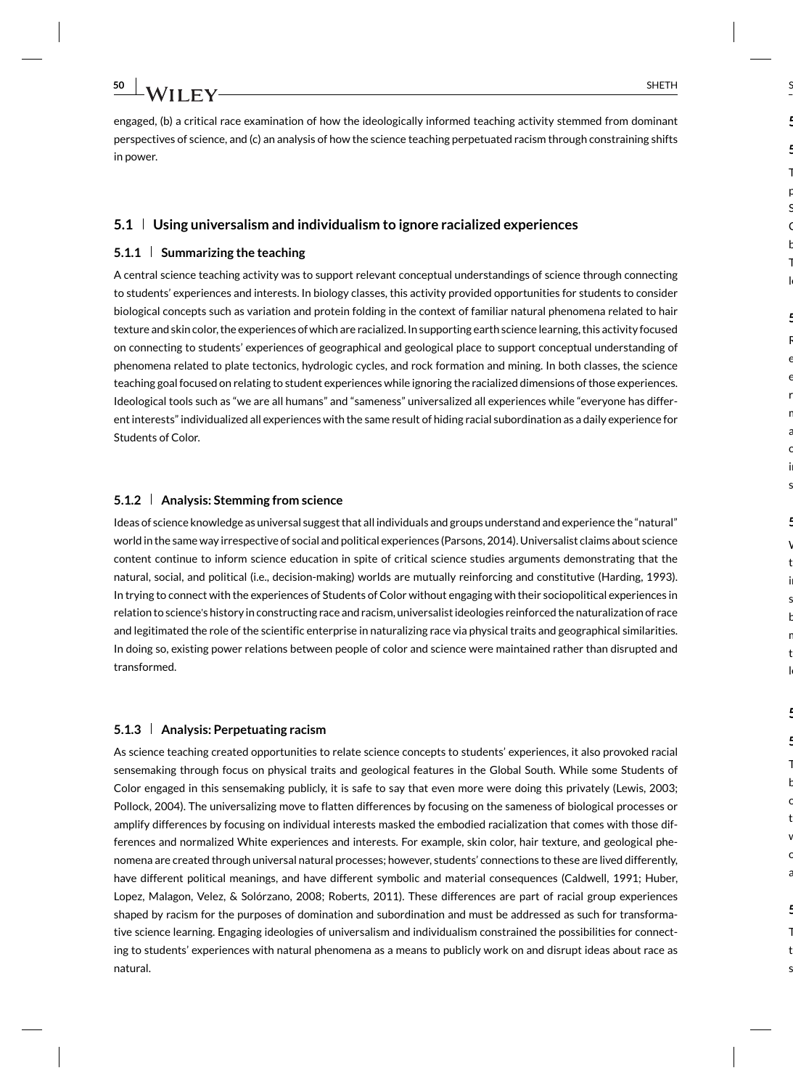engaged, (b) a critical race examination of how the ideologically informed teaching activity stemmed from dominant perspectives of science, and (c) an analysis of how the science teaching perpetuated racism through constraining shifts in power.

### **5.1 Using universalism and individualism to ignore racialized experiences**

### **5.1.1 Summarizing the teaching**

A central science teaching activity was to support relevant conceptual understandings of science through connecting to students' experiences and interests. In biology classes, this activity provided opportunities for students to consider biological concepts such as variation and protein folding in the context of familiar natural phenomena related to hair texture and skin color, the experiences of which are racialized. In supporting earth science learning, this activity focused on connecting to students' experiences of geographical and geological place to support conceptual understanding of phenomena related to plate tectonics, hydrologic cycles, and rock formation and mining. In both classes, the science teaching goal focused on relating to student experiences while ignoring the racialized dimensions of those experiences. Ideological tools such as "we are all humans" and "sameness" universalized all experiences while "everyone has different interests" individualized all experiences with the same result of hiding racial subordination as a daily experience for Students of Color.

### **5.1.2 Analysis: Stemming from science**

Ideas of science knowledge as universal suggest that all individuals and groups understand and experience the "natural" world in the same way irrespective of social and political experiences (Parsons, 2014). Universalist claims about science content continue to inform science education in spite of critical science studies arguments demonstrating that the natural, social, and political (i.e., decision-making) worlds are mutually reinforcing and constitutive (Harding, 1993). In trying to connect with the experiences of Students of Color without engaging with their sociopolitical experiences in relation to science's history in constructing race and racism, universalist ideologies reinforced the naturalization of race and legitimated the role of the scientific enterprise in naturalizing race via physical traits and geographical similarities. In doing so, existing power relations between people of color and science were maintained rather than disrupted and transformed.

### **5.1.3 Analysis: Perpetuating racism**

As science teaching created opportunities to relate science concepts to students' experiences, it also provoked racial sensemaking through focus on physical traits and geological features in the Global South. While some Students of Color engaged in this sensemaking publicly, it is safe to say that even more were doing this privately (Lewis, 2003; Pollock, 2004). The universalizing move to flatten differences by focusing on the sameness of biological processes or amplify differences by focusing on individual interests masked the embodied racialization that comes with those differences and normalized White experiences and interests. For example, skin color, hair texture, and geological phenomena are created through universal natural processes; however, students' connections to these are lived differently, have different political meanings, and have different symbolic and material consequences (Caldwell, 1991; Huber, Lopez, Malagon, Velez, & Solórzano, 2008; Roberts, 2011). These differences are part of racial group experiences shaped by racism for the purposes of domination and subordination and must be addressed as such for transformative science learning. Engaging ideologies of universalism and individualism constrained the possibilities for connecting to students' experiences with natural phenomena as a means to publicly work on and disrupt ideas about race as natural.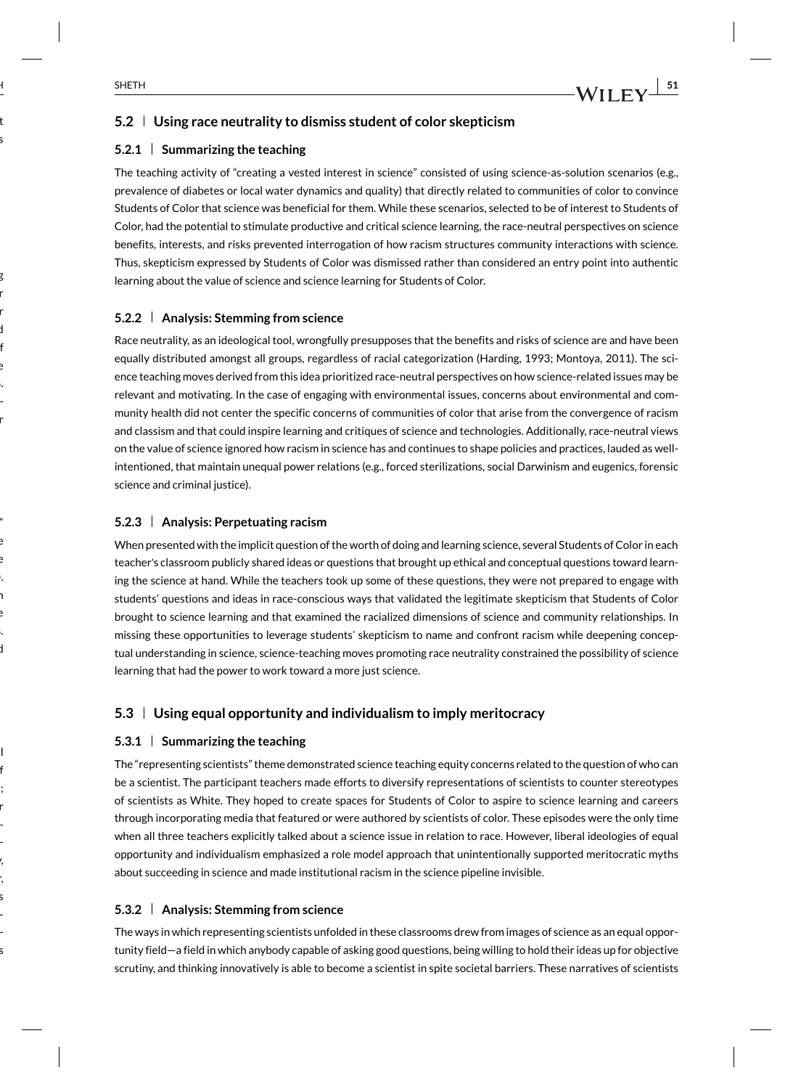### **5.2 Using race neutrality to dismiss student of color skepticism**

### **5.2.1 Summarizing the teaching**

The teaching activity of "creating a vested interest in science" consisted of using science-as-solution scenarios (e.g., prevalence of diabetes or local water dynamics and quality) that directly related to communities of color to convince Students of Color that science was beneficial for them. While these scenarios, selected to be of interest to Students of Color, had the potential to stimulate productive and critical science learning, the race-neutral perspectives on science benefits, interests, and risks prevented interrogation of how racism structures community interactions with science. Thus, skepticism expressed by Students of Color was dismissed rather than considered an entry point into authentic learning about the value of science and science learning for Students of Color.

### **5.2.2 Analysis: Stemming from science**

Race neutrality, as an ideological tool, wrongfully presupposes that the benefits and risks of science are and have been equally distributed amongst all groups, regardless of racial categorization (Harding, 1993; Montoya, 2011). The science teaching moves derived from this idea prioritized race-neutral perspectives on how science-related issues may be relevant and motivating. In the case of engaging with environmental issues, concerns about environmental and community health did not center the specific concerns of communities of color that arise from the convergence of racism and classism and that could inspire learning and critiques of science and technologies. Additionally, race-neutral views on the value of science ignored how racism in science has and continues to shape policies and practices, lauded as wellintentioned, that maintain unequal power relations (e.g., forced sterilizations, social Darwinism and eugenics, forensic science and criminal justice).

### **5.2.3 Analysis: Perpetuating racism**

When presented with the implicit question of the worth of doing and learning science, several Students of Color in each teacher's classroom publicly shared ideas or questions that brought up ethical and conceptual questions toward learning the science at hand. While the teachers took up some of these questions, they were not prepared to engage with students' questions and ideas in race-conscious ways that validated the legitimate skepticism that Students of Color brought to science learning and that examined the racialized dimensions of science and community relationships. In missing these opportunities to leverage students' skepticism to name and confront racism while deepening conceptual understanding in science, science-teaching moves promoting race neutrality constrained the possibility of science learning that had the power to work toward a more just science.

### **5.3 Using equal opportunity and individualism to imply meritocracy**

### **5.3.1 Summarizing the teaching**

The "representing scientists" theme demonstrated science teaching equity concerns related to the question of who can be a scientist. The participant teachers made efforts to diversify representations of scientists to counter stereotypes of scientists as White. They hoped to create spaces for Students of Color to aspire to science learning and careers through incorporating media that featured or were authored by scientists of color. These episodes were the only time when all three teachers explicitly talked about a science issue in relation to race. However, liberal ideologies of equal opportunity and individualism emphasized a role model approach that unintentionally supported meritocratic myths about succeeding in science and made institutional racism in the science pipeline invisible.

### **5.3.2 Analysis: Stemming from science**

The ways in which representing scientists unfolded in these classrooms drew from images of science as an equal opportunity field—a field in which anybody capable of asking good questions, being willing to hold their ideas up for objective scrutiny, and thinking innovatively is able to become a scientist in spite societal barriers. These narratives of scientists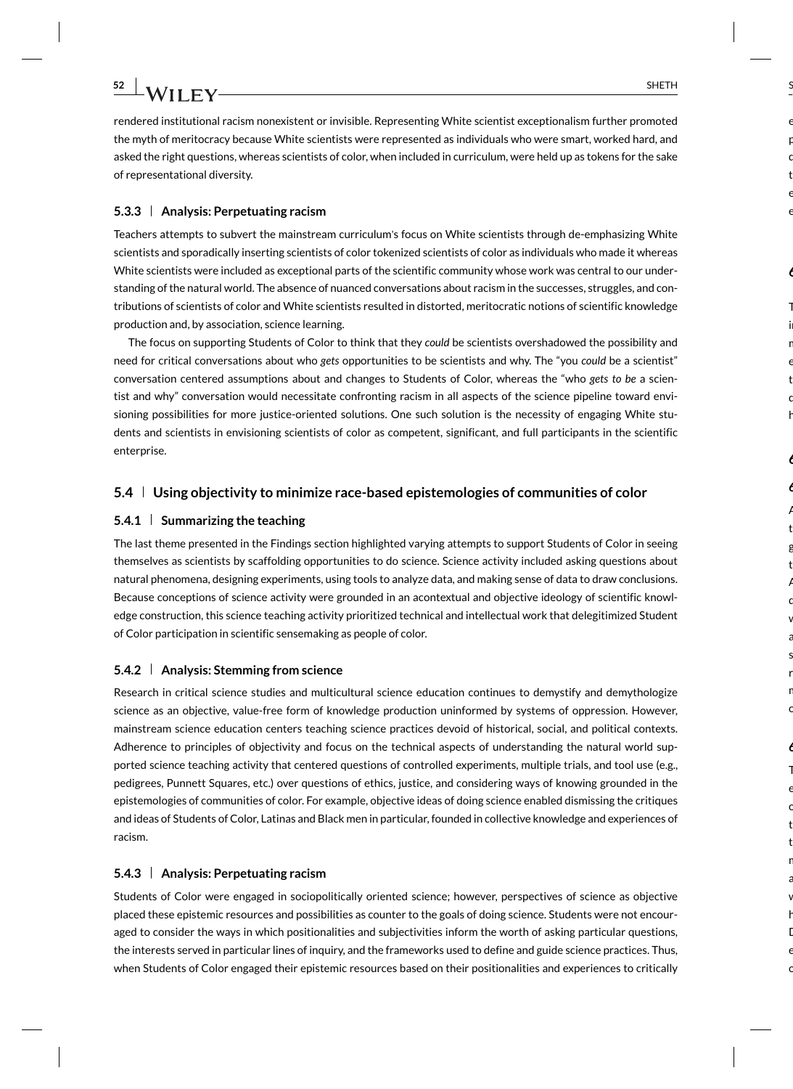rendered institutional racism nonexistent or invisible. Representing White scientist exceptionalism further promoted the myth of meritocracy because White scientists were represented as individuals who were smart, worked hard, and asked the right questions, whereas scientists of color, when included in curriculum, were held up as tokens for the sake of representational diversity.

#### **5.3.3 Analysis: Perpetuating racism**

Teachers attempts to subvert the mainstream curriculum's focus on White scientists through de-emphasizing White scientists and sporadically inserting scientists of color tokenized scientists of color as individuals who made it whereas White scientists were included as exceptional parts of the scientific community whose work was central to our understanding of the natural world. The absence of nuanced conversations about racism in the successes, struggles, and contributions of scientists of color and White scientists resulted in distorted, meritocratic notions of scientific knowledge production and, by association, science learning.

The focus on supporting Students of Color to think that they *could* be scientists overshadowed the possibility and need for critical conversations about who *gets* opportunities to be scientists and why. The "you *could* be a scientist" conversation centered assumptions about and changes to Students of Color, whereas the "who *gets to be* a scientist and why" conversation would necessitate confronting racism in all aspects of the science pipeline toward envisioning possibilities for more justice-oriented solutions. One such solution is the necessity of engaging White students and scientists in envisioning scientists of color as competent, significant, and full participants in the scientific enterprise.

### **5.4 Using objectivity to minimize race-based epistemologies of communities of color**

### **5.4.1 Summarizing the teaching**

The last theme presented in the Findings section highlighted varying attempts to support Students of Color in seeing themselves as scientists by scaffolding opportunities to do science. Science activity included asking questions about natural phenomena, designing experiments, using tools to analyze data, and making sense of data to draw conclusions. Because conceptions of science activity were grounded in an acontextual and objective ideology of scientific knowledge construction, this science teaching activity prioritized technical and intellectual work that delegitimized Student of Color participation in scientific sensemaking as people of color.

#### **5.4.2 Analysis: Stemming from science**

Research in critical science studies and multicultural science education continues to demystify and demythologize science as an objective, value-free form of knowledge production uninformed by systems of oppression. However, mainstream science education centers teaching science practices devoid of historical, social, and political contexts. Adherence to principles of objectivity and focus on the technical aspects of understanding the natural world supported science teaching activity that centered questions of controlled experiments, multiple trials, and tool use (e.g., pedigrees, Punnett Squares, etc.) over questions of ethics, justice, and considering ways of knowing grounded in the epistemologies of communities of color. For example, objective ideas of doing science enabled dismissing the critiques and ideas of Students of Color, Latinas and Black men in particular, founded in collective knowledge and experiences of racism.

#### **5.4.3 Analysis: Perpetuating racism**

Students of Color were engaged in sociopolitically oriented science; however, perspectives of science as objective placed these epistemic resources and possibilities as counter to the goals of doing science. Students were not encouraged to consider the ways in which positionalities and subjectivities inform the worth of asking particular questions, the interests served in particular lines of inquiry, and the frameworks used to define and guide science practices. Thus, when Students of Color engaged their epistemic resources based on their positionalities and experiences to critically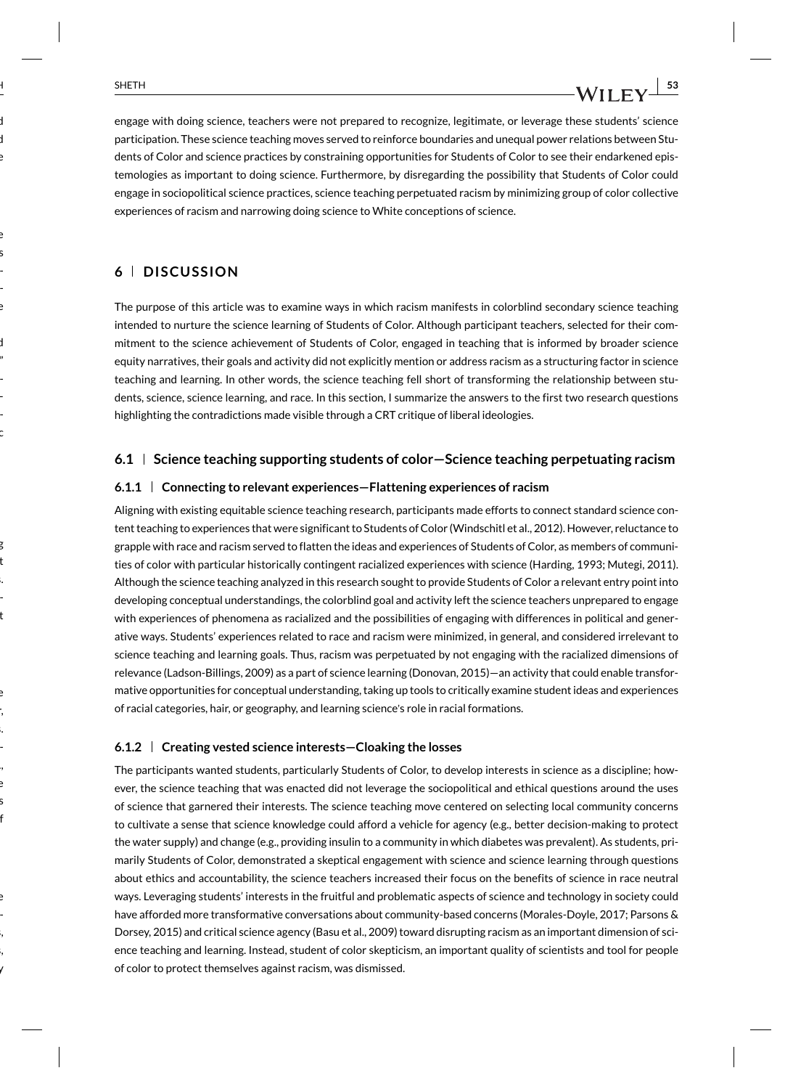engage with doing science, teachers were not prepared to recognize, legitimate, or leverage these students' science participation. These science teaching moves served to reinforce boundaries and unequal power relations between Students of Color and science practices by constraining opportunities for Students of Color to see their endarkened epistemologies as important to doing science. Furthermore, by disregarding the possibility that Students of Color could engage in sociopolitical science practices, science teaching perpetuated racism by minimizing group of color collective experiences of racism and narrowing doing science to White conceptions of science.

### **6 DISCUSSION**

The purpose of this article was to examine ways in which racism manifests in colorblind secondary science teaching intended to nurture the science learning of Students of Color. Although participant teachers, selected for their commitment to the science achievement of Students of Color, engaged in teaching that is informed by broader science equity narratives, their goals and activity did not explicitly mention or address racism as a structuring factor in science teaching and learning. In other words, the science teaching fell short of transforming the relationship between students, science, science learning, and race. In this section, I summarize the answers to the first two research questions highlighting the contradictions made visible through a CRT critique of liberal ideologies.

### **6.1 Science teaching supporting students of color—Science teaching perpetuating racism**

### **6.1.1 Connecting to relevant experiences—Flattening experiences of racism**

Aligning with existing equitable science teaching research, participants made efforts to connect standard science content teaching to experiences that were significant to Students of Color (Windschitl et al., 2012). However, reluctance to grapple with race and racism served to flatten the ideas and experiences of Students of Color, as members of communities of color with particular historically contingent racialized experiences with science (Harding, 1993; Mutegi, 2011). Although the science teaching analyzed in this research sought to provide Students of Color a relevant entry point into developing conceptual understandings, the colorblind goal and activity left the science teachers unprepared to engage with experiences of phenomena as racialized and the possibilities of engaging with differences in political and generative ways. Students' experiences related to race and racism were minimized, in general, and considered irrelevant to science teaching and learning goals. Thus, racism was perpetuated by not engaging with the racialized dimensions of relevance (Ladson-Billings, 2009) as a part of science learning (Donovan, 2015)—an activity that could enable transformative opportunities for conceptual understanding, taking up tools to critically examine student ideas and experiences of racial categories, hair, or geography, and learning science's role in racial formations.

### **6.1.2 Creating vested science interests—Cloaking the losses**

The participants wanted students, particularly Students of Color, to develop interests in science as a discipline; however, the science teaching that was enacted did not leverage the sociopolitical and ethical questions around the uses of science that garnered their interests. The science teaching move centered on selecting local community concerns to cultivate a sense that science knowledge could afford a vehicle for agency (e.g., better decision-making to protect the water supply) and change (e.g., providing insulin to a community in which diabetes was prevalent). As students, primarily Students of Color, demonstrated a skeptical engagement with science and science learning through questions about ethics and accountability, the science teachers increased their focus on the benefits of science in race neutral ways. Leveraging students' interests in the fruitful and problematic aspects of science and technology in society could have afforded more transformative conversations about community-based concerns (Morales-Doyle, 2017; Parsons & Dorsey, 2015) and critical science agency (Basu et al., 2009) toward disrupting racism as an important dimension of science teaching and learning. Instead, student of color skepticism, an important quality of scientists and tool for people of color to protect themselves against racism, was dismissed.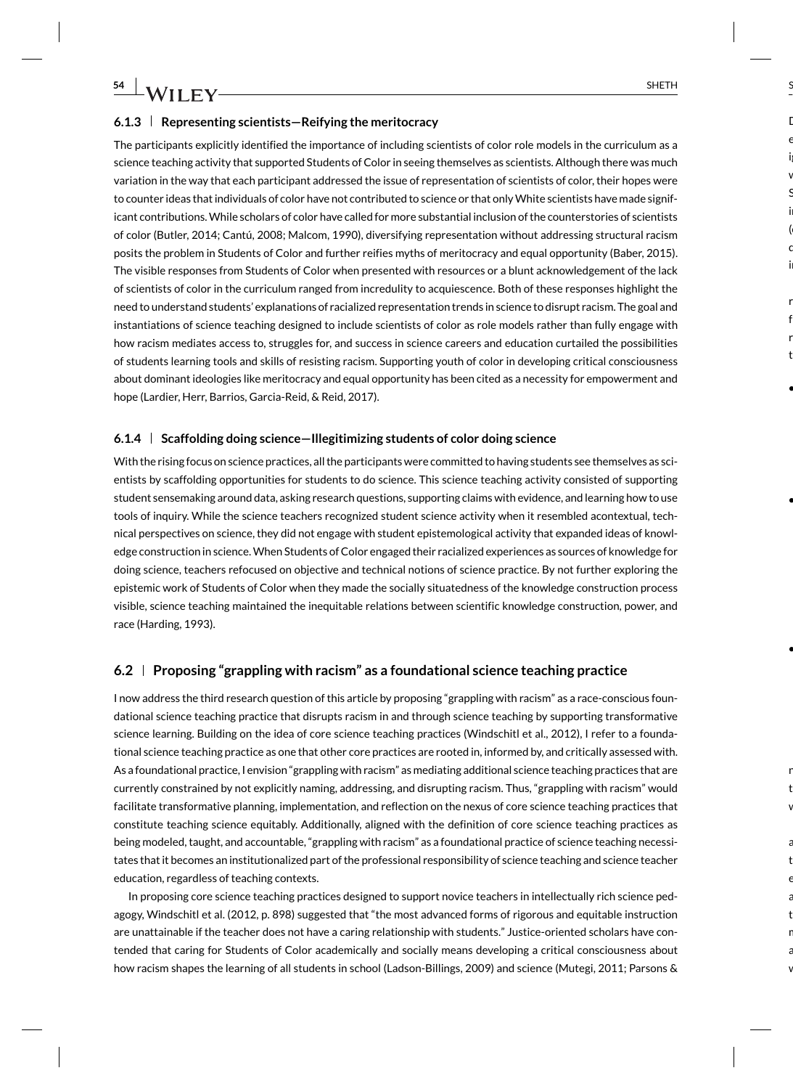### **6.1.3 Representing scientists—Reifying the meritocracy**

The participants explicitly identified the importance of including scientists of color role models in the curriculum as a science teaching activity that supported Students of Color in seeing themselves as scientists. Although there was much variation in the way that each participant addressed the issue of representation of scientists of color, their hopes were to counter ideas that individuals of color have not contributed to science or that only White scientists have made significant contributions. While scholars of color have called for more substantial inclusion of the counterstories of scientists of color (Butler, 2014; Cantú, 2008; Malcom, 1990), diversifying representation without addressing structural racism posits the problem in Students of Color and further reifies myths of meritocracy and equal opportunity (Baber, 2015). The visible responses from Students of Color when presented with resources or a blunt acknowledgement of the lack of scientists of color in the curriculum ranged from incredulity to acquiescence. Both of these responses highlight the need to understand students' explanations of racialized representation trends in science to disrupt racism. The goal and instantiations of science teaching designed to include scientists of color as role models rather than fully engage with how racism mediates access to, struggles for, and success in science careers and education curtailed the possibilities of students learning tools and skills of resisting racism. Supporting youth of color in developing critical consciousness about dominant ideologies like meritocracy and equal opportunity has been cited as a necessity for empowerment and hope (Lardier, Herr, Barrios, Garcia-Reid, & Reid, 2017).

### **6.1.4 Scaffolding doing science—Illegitimizing students of color doing science**

With the rising focus on science practices, all the participants were committed to having students see themselves as scientists by scaffolding opportunities for students to do science. This science teaching activity consisted of supporting student sensemaking around data, asking research questions, supporting claims with evidence, and learning how to use tools of inquiry. While the science teachers recognized student science activity when it resembled acontextual, technical perspectives on science, they did not engage with student epistemological activity that expanded ideas of knowledge construction in science. When Students of Color engaged their racialized experiences as sources of knowledge for doing science, teachers refocused on objective and technical notions of science practice. By not further exploring the epistemic work of Students of Color when they made the socially situatedness of the knowledge construction process visible, science teaching maintained the inequitable relations between scientific knowledge construction, power, and race (Harding, 1993).

### **6.2 Proposing "grappling with racism" as a foundational science teaching practice**

I now address the third research question of this article by proposing "grappling with racism" as a race-conscious foundational science teaching practice that disrupts racism in and through science teaching by supporting transformative science learning. Building on the idea of core science teaching practices (Windschitl et al., 2012), I refer to a foundational science teaching practice as one that other core practices are rooted in, informed by, and critically assessed with. As a foundational practice, I envision "grappling with racism" as mediating additional science teaching practices that are currently constrained by not explicitly naming, addressing, and disrupting racism. Thus, "grappling with racism" would facilitate transformative planning, implementation, and reflection on the nexus of core science teaching practices that constitute teaching science equitably. Additionally, aligned with the definition of core science teaching practices as being modeled, taught, and accountable, "grappling with racism" as a foundational practice of science teaching necessitates that it becomes an institutionalized part of the professional responsibility of science teaching and science teacher education, regardless of teaching contexts.

In proposing core science teaching practices designed to support novice teachers in intellectually rich science pedagogy, Windschitl et al. (2012, p. 898) suggested that "the most advanced forms of rigorous and equitable instruction are unattainable if the teacher does not have a caring relationship with students." Justice-oriented scholars have contended that caring for Students of Color academically and socially means developing a critical consciousness about how racism shapes the learning of all students in school (Ladson-Billings, 2009) and science (Mutegi, 2011; Parsons &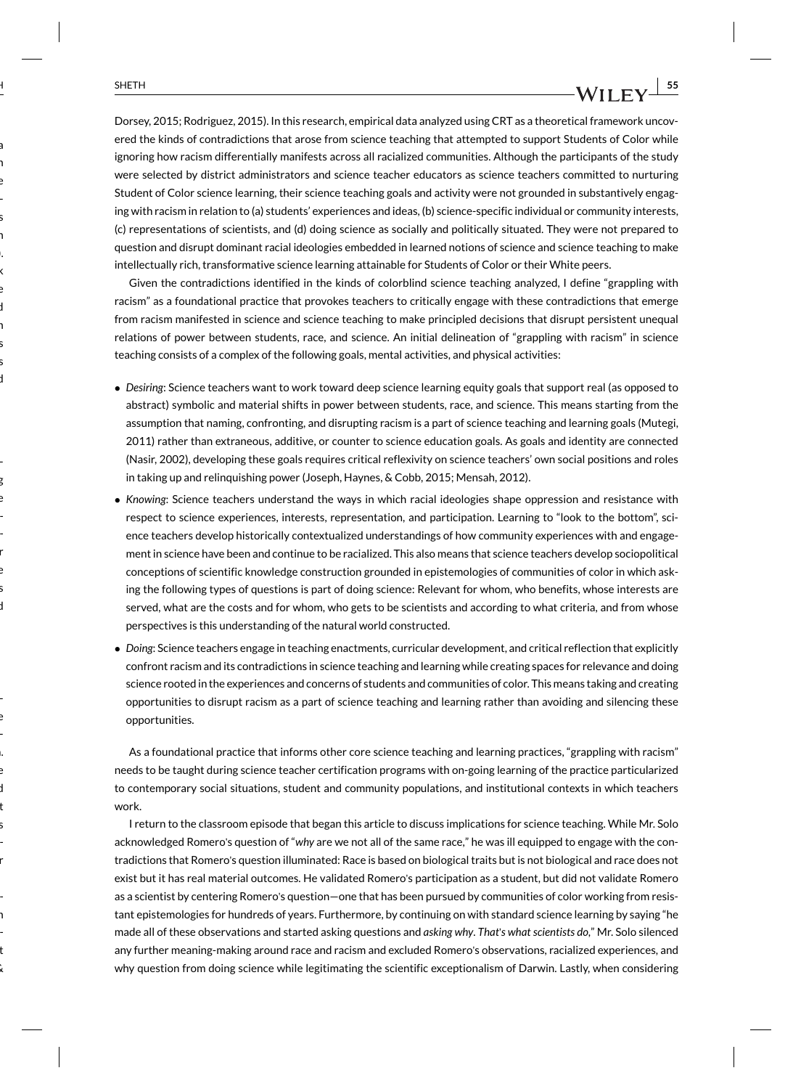Dorsey, 2015; Rodriguez, 2015). In this research, empirical data analyzed using CRT as a theoretical framework uncovered the kinds of contradictions that arose from science teaching that attempted to support Students of Color while ignoring how racism differentially manifests across all racialized communities. Although the participants of the study were selected by district administrators and science teacher educators as science teachers committed to nurturing Student of Color science learning, their science teaching goals and activity were not grounded in substantively engaging with racism in relation to (a) students' experiences and ideas, (b) science-specific individual or community interests, (c) representations of scientists, and (d) doing science as socially and politically situated. They were not prepared to question and disrupt dominant racial ideologies embedded in learned notions of science and science teaching to make intellectually rich, transformative science learning attainable for Students of Color or their White peers.

Given the contradictions identified in the kinds of colorblind science teaching analyzed, I define "grappling with racism" as a foundational practice that provokes teachers to critically engage with these contradictions that emerge from racism manifested in science and science teaching to make principled decisions that disrupt persistent unequal relations of power between students, race, and science. An initial delineation of "grappling with racism" in science teaching consists of a complex of the following goals, mental activities, and physical activities:

- *Desiring*: Science teachers want to work toward deep science learning equity goals that support real (as opposed to abstract) symbolic and material shifts in power between students, race, and science. This means starting from the assumption that naming, confronting, and disrupting racism is a part of science teaching and learning goals (Mutegi, 2011) rather than extraneous, additive, or counter to science education goals. As goals and identity are connected (Nasir, 2002), developing these goals requires critical reflexivity on science teachers' own social positions and roles in taking up and relinquishing power (Joseph, Haynes, & Cobb, 2015; Mensah, 2012).
- *Knowing*: Science teachers understand the ways in which racial ideologies shape oppression and resistance with respect to science experiences, interests, representation, and participation. Learning to "look to the bottom", science teachers develop historically contextualized understandings of how community experiences with and engagement in science have been and continue to be racialized. This also means that science teachers develop sociopolitical conceptions of scientific knowledge construction grounded in epistemologies of communities of color in which asking the following types of questions is part of doing science: Relevant for whom, who benefits, whose interests are served, what are the costs and for whom, who gets to be scientists and according to what criteria, and from whose perspectives is this understanding of the natural world constructed.
- *Doing*: Science teachers engage in teaching enactments, curricular development, and critical reflection that explicitly confront racism and its contradictions in science teaching and learning while creating spaces for relevance and doing science rooted in the experiences and concerns of students and communities of color. This means taking and creating opportunities to disrupt racism as a part of science teaching and learning rather than avoiding and silencing these opportunities.

As a foundational practice that informs other core science teaching and learning practices, "grappling with racism" needs to be taught during science teacher certification programs with on-going learning of the practice particularized to contemporary social situations, student and community populations, and institutional contexts in which teachers work.

I return to the classroom episode that began this article to discuss implications for science teaching. While Mr. Solo acknowledged Romero's question of "*why* are we not all of the same race," he was ill equipped to engage with the contradictions that Romero's question illuminated: Race is based on biological traits but is not biological and race does not exist but it has real material outcomes. He validated Romero's participation as a student, but did not validate Romero as a scientist by centering Romero's question—one that has been pursued by communities of color working from resistant epistemologies for hundreds of years. Furthermore, by continuing on with standard science learning by saying "he made all of these observations and started asking questions and *asking why*. *That*'*s what scientists do*," Mr. Solo silenced any further meaning-making around race and racism and excluded Romero's observations, racialized experiences, and why question from doing science while legitimating the scientific exceptionalism of Darwin. Lastly, when considering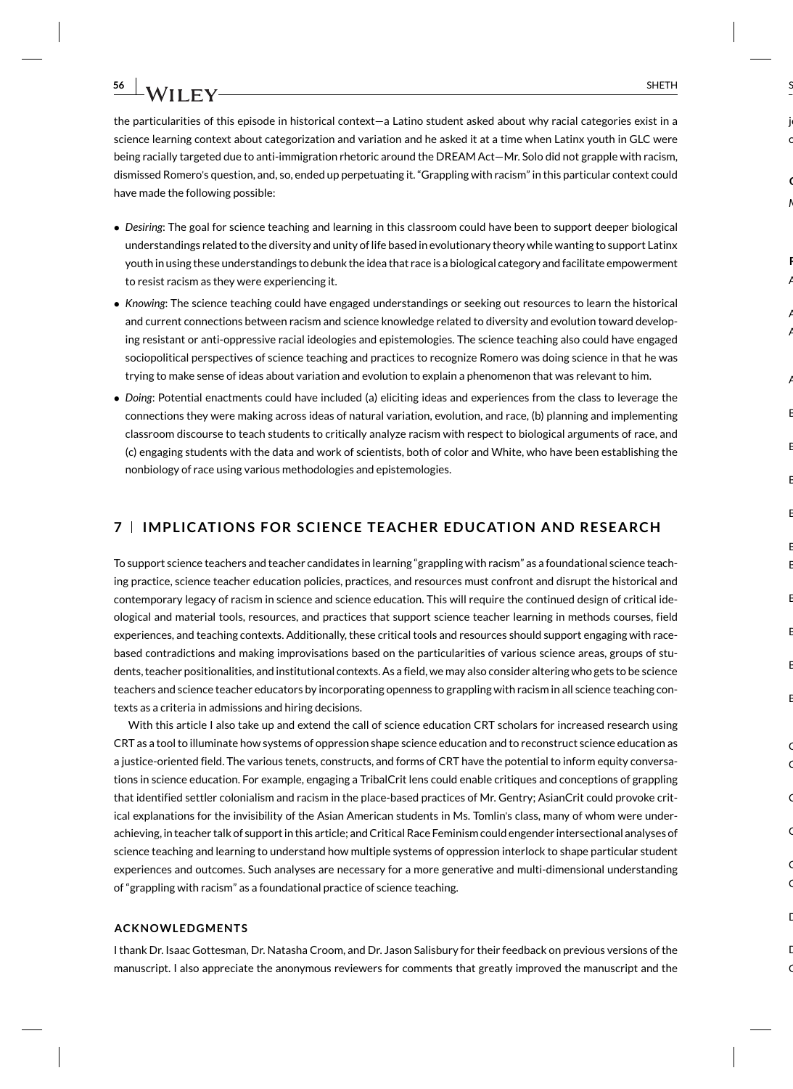the particularities of this episode in historical context—a Latino student asked about why racial categories exist in a science learning context about categorization and variation and he asked it at a time when Latinx youth in GLC were being racially targeted due to anti-immigration rhetoric around the DREAM Act—Mr. Solo did not grapple with racism, dismissed Romero's question, and, so, ended up perpetuating it. "Grappling with racism" in this particular context could have made the following possible:

- *Desiring*: The goal for science teaching and learning in this classroom could have been to support deeper biological understandings related to the diversity and unity of life based in evolutionary theory while wanting to support Latinx youth in using these understandings to debunk the idea that race is a biological category and facilitate empowerment to resist racism as they were experiencing it.
- *Knowing*: The science teaching could have engaged understandings or seeking out resources to learn the historical and current connections between racism and science knowledge related to diversity and evolution toward developing resistant or anti-oppressive racial ideologies and epistemologies. The science teaching also could have engaged sociopolitical perspectives of science teaching and practices to recognize Romero was doing science in that he was trying to make sense of ideas about variation and evolution to explain a phenomenon that was relevant to him.
- *Doing*: Potential enactments could have included (a) eliciting ideas and experiences from the class to leverage the connections they were making across ideas of natural variation, evolution, and race, (b) planning and implementing classroom discourse to teach students to critically analyze racism with respect to biological arguments of race, and (c) engaging students with the data and work of scientists, both of color and White, who have been establishing the nonbiology of race using various methodologies and epistemologies.

### **7 IMPLICATIONS FOR SCIENCE TEACHER EDUCATION AND RESEARCH**

To support science teachers and teacher candidates in learning "grappling with racism" as a foundational science teaching practice, science teacher education policies, practices, and resources must confront and disrupt the historical and contemporary legacy of racism in science and science education. This will require the continued design of critical ideological and material tools, resources, and practices that support science teacher learning in methods courses, field experiences, and teaching contexts. Additionally, these critical tools and resources should support engaging with racebased contradictions and making improvisations based on the particularities of various science areas, groups of students, teacher positionalities, and institutional contexts. As a field, we may also consider altering who gets to be science teachers and science teacher educators by incorporating openness to grappling with racism in all science teaching contexts as a criteria in admissions and hiring decisions.

With this article I also take up and extend the call of science education CRT scholars for increased research using CRT as a tool to illuminate how systems of oppression shape science education and to reconstruct science education as a justice-oriented field. The various tenets, constructs, and forms of CRT have the potential to inform equity conversations in science education. For example, engaging a TribalCrit lens could enable critiques and conceptions of grappling that identified settler colonialism and racism in the place-based practices of Mr. Gentry; AsianCrit could provoke critical explanations for the invisibility of the Asian American students in Ms. Tomlin's class, many of whom were underachieving, in teacher talk of support in this article; and Critical Race Feminism could engender intersectional analyses of science teaching and learning to understand how multiple systems of oppression interlock to shape particular student experiences and outcomes. Such analyses are necessary for a more generative and multi-dimensional understanding of "grappling with racism" as a foundational practice of science teaching.

#### **ACKNOWLEDGMENTS**

I thank Dr. Isaac Gottesman, Dr. Natasha Croom, and Dr. Jason Salisbury for their feedback on previous versions of the manuscript. I also appreciate the anonymous reviewers for comments that greatly improved the manuscript and the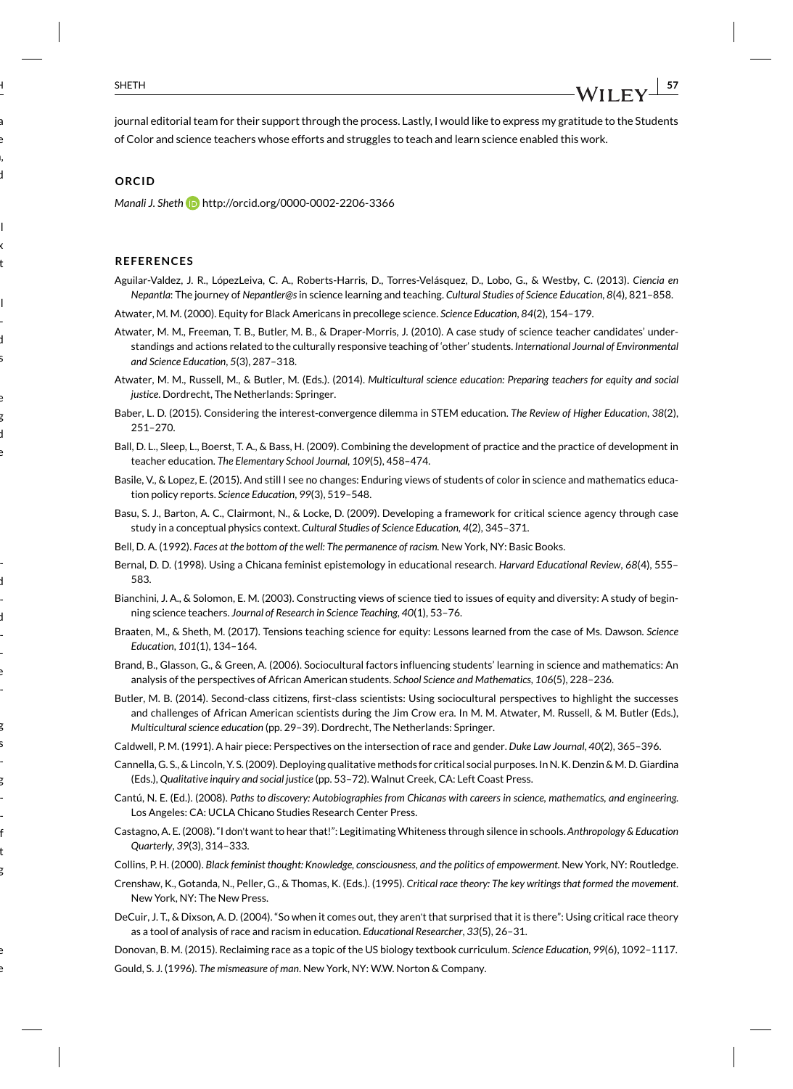journal editorial team for their support through the process. Lastly, I would like to express my gratitude to the Students of Color and science teachers whose efforts and struggles to teach and learn science enabled this work.

#### **ORCID**

*Manali J. Sheth* http://orcid.org/0000-0002-2206-3366

#### **REFERENCES**

Aguilar-Valdez, J. R., LópezLeiva, C. A., Roberts-Harris, D., Torres-Velásquez, D., Lobo, G., & Westby, C. (2013). *Ciencia en Nepantla*: The journey of *Nepantler@s*in science learning and teaching. *Cultural Studies of Science Education*, *8*(4), 821–858.

Atwater, M. M. (2000). Equity for Black Americans in precollege science. *Science Education*, *84*(2), 154–179.

- Atwater, M. M., Freeman, T. B., Butler, M. B., & Draper-Morris, J. (2010). A case study of science teacher candidates' understandings and actions related to the culturally responsive teaching of 'other' students. *International Journal of Environmental and Science Education*, *5*(3), 287–318.
- Atwater, M. M., Russell, M., & Butler, M. (Eds.). (2014). *Multicultural science education: Preparing teachers for equity and social justice*. Dordrecht, The Netherlands: Springer.
- Baber, L. D. (2015). Considering the interest-convergence dilemma in STEM education. *The Review of Higher Education*, *38*(2), 251–270.
- Ball, D. L., Sleep, L., Boerst, T. A., & Bass, H. (2009). Combining the development of practice and the practice of development in teacher education. *The Elementary School Journal*, *109*(5), 458–474.
- Basile, V., & Lopez, E. (2015). And still I see no changes: Enduring views of students of color in science and mathematics education policy reports. *Science Education*, *99*(3), 519–548.
- Basu, S. J., Barton, A. C., Clairmont, N., & Locke, D. (2009). Developing a framework for critical science agency through case study in a conceptual physics context. *Cultural Studies of Science Education*, *4*(2), 345–371.
- Bell, D. A. (1992). *Faces at the bottom of the well: The permanence of racism*. New York, NY: Basic Books.
- Bernal, D. D. (1998). Using a Chicana feminist epistemology in educational research. *Harvard Educational Review*, *68*(4), 555– 583.
- Bianchini, J. A., & Solomon, E. M. (2003). Constructing views of science tied to issues of equity and diversity: A study of beginning science teachers. *Journal of Research in Science Teaching*, *40*(1), 53–76.
- Braaten, M., & Sheth, M. (2017). Tensions teaching science for equity: Lessons learned from the case of Ms. Dawson. *Science Education*, *101*(1), 134–164.
- Brand, B., Glasson, G., & Green, A. (2006). Sociocultural factors influencing students' learning in science and mathematics: An analysis of the perspectives of African American students. *School Science and Mathematics*, *106*(5), 228–236.
- Butler, M. B. (2014). Second-class citizens, first-class scientists: Using sociocultural perspectives to highlight the successes and challenges of African American scientists during the Jim Crow era. In M. M. Atwater, M. Russell, & M. Butler (Eds.), *Multicultural science education* (pp. 29–39). Dordrecht, The Netherlands: Springer.
- Caldwell, P. M. (1991). A hair piece: Perspectives on the intersection of race and gender. *Duke Law Journal*, *40*(2), 365–396.
- Cannella, G. S., & Lincoln, Y. S. (2009). Deploying qualitative methods for critical social purposes. In N. K. Denzin & M. D. Giardina (Eds.), *Qualitative inquiry and social justice* (pp. 53–72). Walnut Creek, CA: Left Coast Press.
- Cantú, N. E. (Ed.). (2008). *Paths to discovery: Autobiographies from Chicanas with careers in science, mathematics, and engineering*. Los Angeles: CA: UCLA Chicano Studies Research Center Press.
- Castagno, A. E. (2008). "I don't want to hear that!": Legitimating Whiteness through silence in schools. *Anthropology & Education Quarterly*, *39*(3), 314–333.
- Collins, P. H. (2000). *Black feminist thought: Knowledge, consciousness, and the politics of empowerment*. New York, NY: Routledge.
- Crenshaw, K., Gotanda, N., Peller, G., & Thomas, K. (Eds.). (1995). *Critical race theory: The key writings that formed the movement*. New York, NY: The New Press.
- DeCuir, J. T., & Dixson, A. D. (2004). "So when it comes out, they aren't that surprised that it is there": Using critical race theory as a tool of analysis of race and racism in education. *Educational Researcher*, *33*(5), 26–31.
- Donovan, B. M. (2015). Reclaiming race as a topic of the US biology textbook curriculum. *Science Education*, *99*(6), 1092–1117.
- Gould, S. J. (1996). *The mismeasure of man*. New York, NY: W.W. Norton & Company.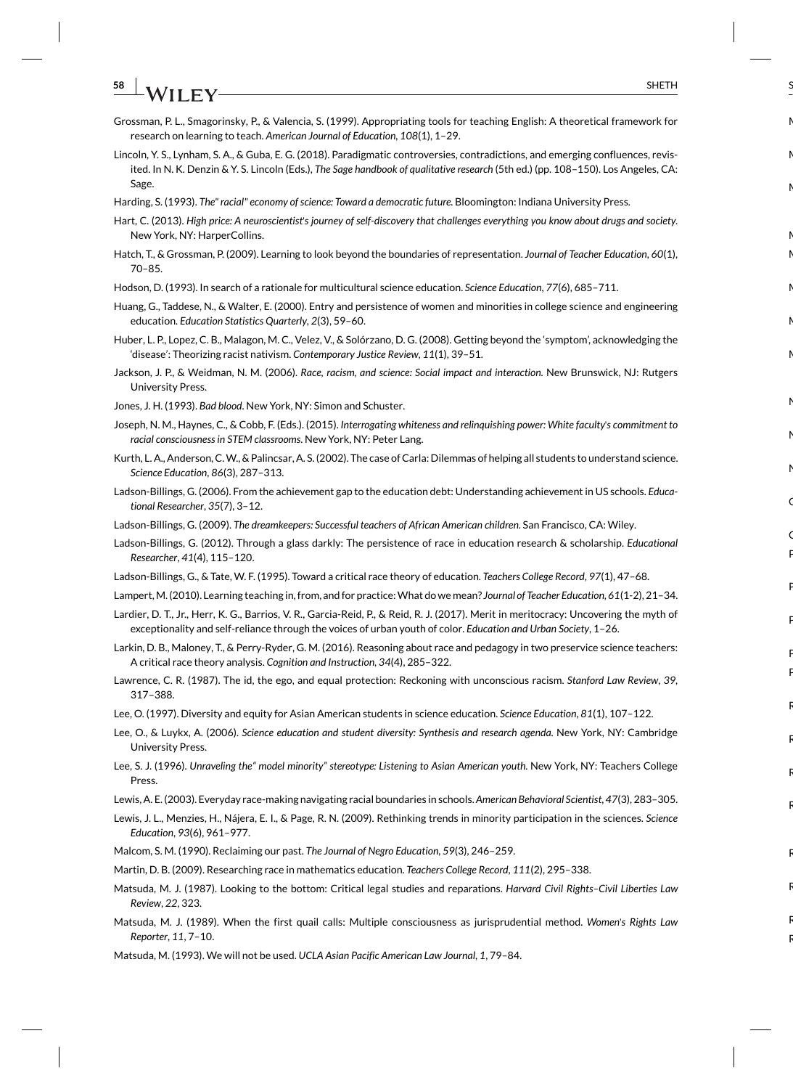- **58**  $\overline{ }$  SHETH SHETH
- Grossman, P. L., Smagorinsky, P., & Valencia, S. (1999). Appropriating tools for teaching English: A theoretical framework for research on learning to teach. *American Journal of Education*, *108*(1), 1–29.
- Lincoln, Y. S., Lynham, S. A., & Guba, E. G. (2018). Paradigmatic controversies, contradictions, and emerging confluences, revisited. In N. K. Denzin & Y. S. Lincoln (Eds.), *The Sage handbook of qualitative research* (5th ed.) (pp. 108–150). Los Angeles, CA: Sage.
- Harding, S. (1993). *The" racial" economy of science: Toward a democratic future*. Bloomington: Indiana University Press.
- Hart, C. (2013). *High price: A neuroscientist*'*s journey of self-discovery that challenges everything you know about drugs and society*. New York, NY: HarperCollins.
- Hatch, T., & Grossman, P. (2009). Learning to look beyond the boundaries of representation. *Journal of Teacher Education*, *60*(1), 70–85.
- Hodson, D. (1993). In search of a rationale for multicultural science education. *Science Education*, *77*(6), 685–711.
- Huang, G., Taddese, N., & Walter, E. (2000). Entry and persistence of women and minorities in college science and engineering education. *Education Statistics Quarterly*, *2*(3), 59–60.
- Huber, L. P., Lopez, C. B., Malagon, M. C., Velez, V., & Solórzano, D. G. (2008). Getting beyond the 'symptom', acknowledging the 'disease': Theorizing racist nativism. *Contemporary Justice Review*, *11*(1), 39–51.
- Jackson, J. P., & Weidman, N. M. (2006). *Race, racism, and science: Social impact and interaction*. New Brunswick, NJ: Rutgers University Press.
- Jones, J. H. (1993). *Bad blood*. New York, NY: Simon and Schuster.
- Joseph, N. M., Haynes, C., & Cobb, F. (Eds.). (2015). *Interrogating whiteness and relinquishing power: White faculty*'*s commitment to racial consciousness in STEM classrooms*. New York, NY: Peter Lang.
- Kurth, L. A., Anderson, C. W., & Palincsar, A. S. (2002). The case of Carla: Dilemmas of helping all students to understand science. *Science Education*, *86*(3), 287–313.
- Ladson-Billings, G. (2006). From the achievement gap to the education debt: Understanding achievement in US schools. *Educational Researcher*, *35*(7), 3–12.
- Ladson-Billings, G. (2009). *The dreamkeepers: Successful teachers of African American children*. San Francisco, CA: Wiley.
- Ladson-Billings, G. (2012). Through a glass darkly: The persistence of race in education research & scholarship. *Educational Researcher*, *41*(4), 115–120.
- Ladson-Billings, G., & Tate, W. F. (1995). Toward a critical race theory of education. *Teachers College Record*, *97*(1), 47–68.
- Lampert, M. (2010). Learning teaching in, from, and for practice: What do we mean? *Journal of Teacher Education*, *61*(1-2), 21–34.
- Lardier, D. T., Jr., Herr, K. G., Barrios, V. R., Garcia-Reid, P., & Reid, R. J. (2017). Merit in meritocracy: Uncovering the myth of exceptionality and self-reliance through the voices of urban youth of color. *Education and Urban Society*, 1–26.
- Larkin, D. B., Maloney, T., & Perry-Ryder, G. M. (2016). Reasoning about race and pedagogy in two preservice science teachers: A critical race theory analysis. *Cognition and Instruction*, *34*(4), 285–322.
- Lawrence, C. R. (1987). The id, the ego, and equal protection: Reckoning with unconscious racism. *Stanford Law Review*, *39*, 317–388.
- Lee, O. (1997). Diversity and equity for Asian American students in science education. *Science Education*, *81*(1), 107–122.
- Lee, O., & Luykx, A. (2006). *Science education and student diversity: Synthesis and research agenda*. New York, NY: Cambridge University Press.
- Lee, S. J. (1996). *Unraveling the" model minority" stereotype: Listening to Asian American youth*. New York, NY: Teachers College Press.
- Lewis, A. E. (2003). Everyday race-making navigating racial boundaries in schools. *American Behavioral Scientist*, *47*(3), 283–305.
- Lewis, J. L., Menzies, H., Nájera, E. I., & Page, R. N. (2009). Rethinking trends in minority participation in the sciences. *Science Education*, *93*(6), 961–977.
- Malcom, S. M. (1990). Reclaiming our past. *The Journal of Negro Education*, *59*(3), 246–259.
- Martin, D. B. (2009). Researching race in mathematics education. *Teachers College Record*, *111*(2), 295–338.
- Matsuda, M. J. (1987). Looking to the bottom: Critical legal studies and reparations. *Harvard Civil Rights–Civil Liberties Law Review*, *22*, 323.
- Matsuda, M. J. (1989). When the first quail calls: Multiple consciousness as jurisprudential method. *Women*'*s Rights Law Reporter*, *11*, 7–10.
- Matsuda, M. (1993). We will not be used. *UCLA Asian Pacific American Law Journal*, *1*, 79–84.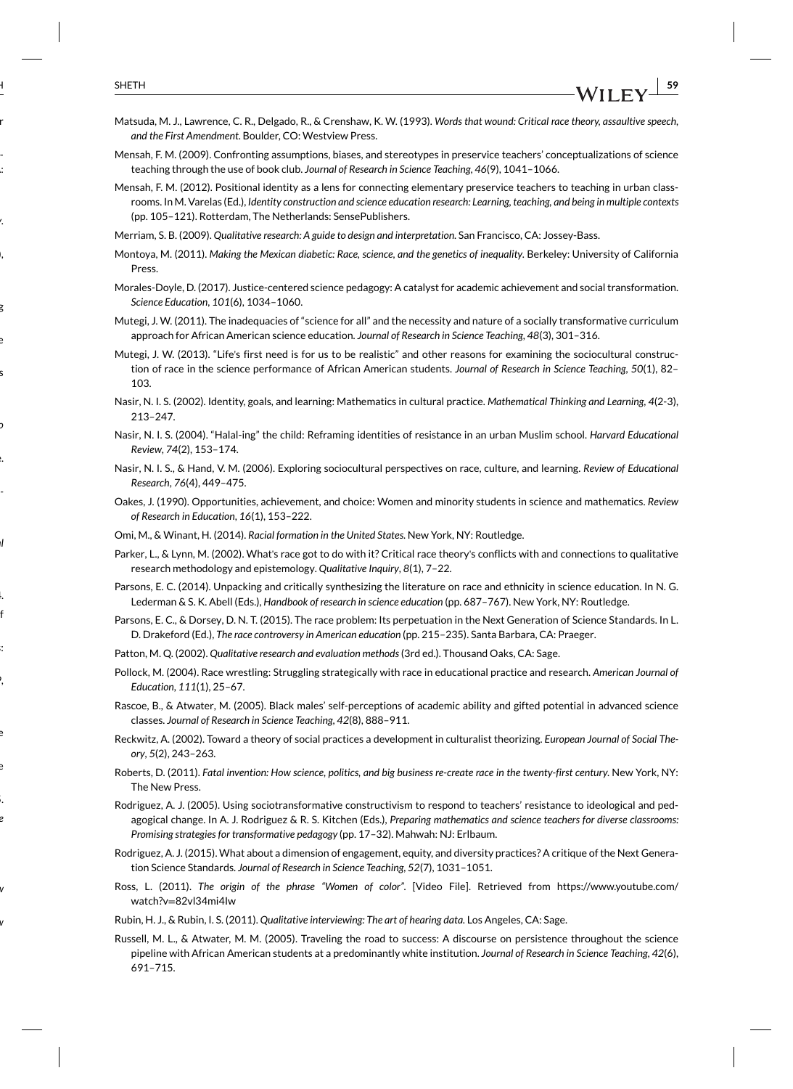- Matsuda, M. J., Lawrence, C. R., Delgado, R., & Crenshaw, K. W. (1993). *Words that wound: Critical race theory, assaultive speech, and the First Amendment*. Boulder, CO: Westview Press.
- Mensah, F. M. (2009). Confronting assumptions, biases, and stereotypes in preservice teachers' conceptualizations of science teaching through the use of book club. *Journal of Research in Science Teaching*, *46*(9), 1041–1066.
- Mensah, F. M. (2012). Positional identity as a lens for connecting elementary preservice teachers to teaching in urban classrooms. In M. Varelas (Ed.), *Identity construction and science education research: Learning, teaching, and being in multiple contexts* (pp. 105–121). Rotterdam, The Netherlands: SensePublishers.
- Merriam, S. B. (2009). *Qualitative research: A guide to design and interpretation*. San Francisco, CA: Jossey-Bass.
- Montoya, M. (2011). *Making the Mexican diabetic: Race, science, and the genetics of inequality*. Berkeley: University of California Press.
- Morales-Doyle, D. (2017). Justice-centered science pedagogy: A catalyst for academic achievement and social transformation. *Science Education*, *101*(6), 1034–1060.
- Mutegi, J. W. (2011). The inadequacies of "science for all" and the necessity and nature of a socially transformative curriculum approach for African American science education. *Journal of Research in Science Teaching*, *48*(3), 301–316.
- Mutegi, J. W. (2013). "Life's first need is for us to be realistic" and other reasons for examining the sociocultural construction of race in the science performance of African American students. *Journal of Research in Science Teaching*, *50*(1), 82– 103.
- Nasir, N. I. S. (2002). Identity, goals, and learning: Mathematics in cultural practice. *Mathematical Thinking and Learning*, *4*(2-3), 213–247.
- Nasir, N. I. S. (2004). "Halal-ing" the child: Reframing identities of resistance in an urban Muslim school. *Harvard Educational Review*, *74*(2), 153–174.
- Nasir, N. I. S., & Hand, V. M. (2006). Exploring sociocultural perspectives on race, culture, and learning. *Review of Educational Research*, *76*(4), 449–475.
- Oakes, J. (1990). Opportunities, achievement, and choice: Women and minority students in science and mathematics. *Review of Research in Education*, *16*(1), 153–222.
- Omi, M., & Winant, H. (2014). *Racial formation in the United States*. New York, NY: Routledge.
- Parker, L., & Lynn, M. (2002). What's race got to do with it? Critical race theory's conflicts with and connections to qualitative research methodology and epistemology. *Qualitative Inquiry*, *8*(1), 7–22.
- Parsons, E. C. (2014). Unpacking and critically synthesizing the literature on race and ethnicity in science education. In N. G. Lederman & S. K. Abell (Eds.), *Handbook of research in science education* (pp. 687–767). New York, NY: Routledge.
- Parsons, E. C., & Dorsey, D. N. T. (2015). The race problem: Its perpetuation in the Next Generation of Science Standards. In L. D. Drakeford (Ed.), *The race controversy in American education* (pp. 215–235). Santa Barbara, CA: Praeger.
- Patton, M. Q. (2002). *Qualitative research and evaluation methods*(3rd ed.). Thousand Oaks, CA: Sage.
- Pollock, M. (2004). Race wrestling: Struggling strategically with race in educational practice and research. *American Journal of Education*, *111*(1), 25–67.
- Rascoe, B., & Atwater, M. (2005). Black males' self-perceptions of academic ability and gifted potential in advanced science classes. *Journal of Research in Science Teaching*, *42*(8), 888–911.
- Reckwitz, A. (2002). Toward a theory of social practices a development in culturalist theorizing. *European Journal of Social Theory*, *5*(2), 243–263.
- Roberts, D. (2011). *Fatal invention: How science, politics, and big business re-create race in the twenty-first century*. New York, NY: The New Press.
- Rodriguez, A. J. (2005). Using sociotransformative constructivism to respond to teachers' resistance to ideological and pedagogical change. In A. J. Rodriguez & R. S. Kitchen (Eds.), *Preparing mathematics and science teachers for diverse classrooms: Promising strategies for transformative pedagogy* (pp. 17–32). Mahwah: NJ: Erlbaum.
- Rodriguez, A. J. (2015). What about a dimension of engagement, equity, and diversity practices? A critique of the Next Generation Science Standards. *Journal of Research in Science Teaching*, *52*(7), 1031–1051.
- Ross, L. (2011). *The origin of the phrase "Women of color"*. [Video File]. Retrieved from https://www.youtube.com/ watch?v=82vl34mi4Iw
- Rubin, H. J., & Rubin, I. S. (2011). *Qualitative interviewing: The art of hearing data*. Los Angeles, CA: Sage.
- Russell, M. L., & Atwater, M. M. (2005). Traveling the road to success: A discourse on persistence throughout the science pipeline with African American students at a predominantly white institution. *Journal of Research in Science Teaching*, *42*(6), 691–715.